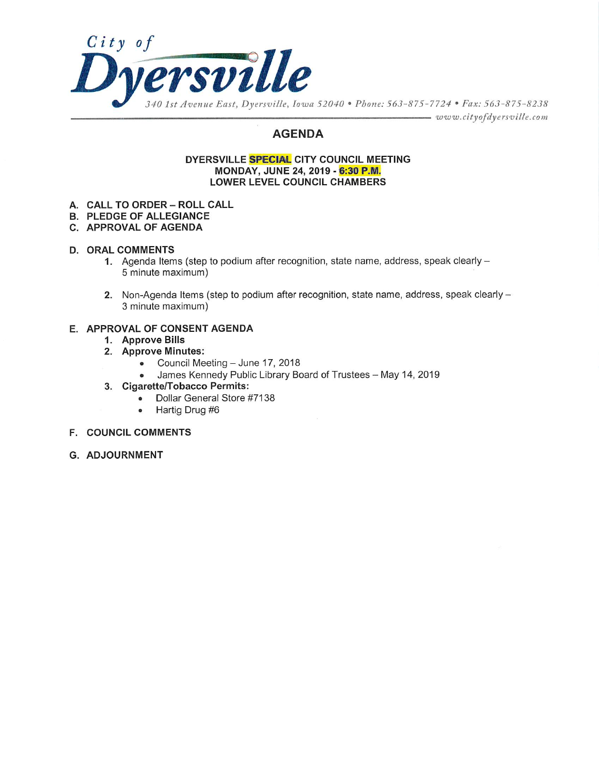

## **AGENDA**

#### DYERSVILLE SPECIAL CITY COUNCIL MEETING MONDAY, JUNE 24, 2019 - 6:30 P.M. **LOWER LEVEL COUNCIL CHAMBERS**

- A. CALL TO ORDER ROLL CALL
- **B. PLEDGE OF ALLEGIANCE**
- C. APPROVAL OF AGENDA

#### **D. ORAL COMMENTS**

- 1. Agenda Items (step to podium after recognition, state name, address, speak clearly -5 minute maximum)
- 2. Non-Agenda Items (step to podium after recognition, state name, address, speak clearly -3 minute maximum)

#### E. APPROVAL OF CONSENT AGENDA

- 1. Approve Bills
- 2. Approve Minutes:
	- Council Meeting June 17, 2018
	- James Kennedy Public Library Board of Trustees May 14, 2019  $\bullet$
- 3. Cigarette/Tobacco Permits:
	- Dollar General Store #7138  $\bullet$
	- Hartig Drug #6  $\bullet$
- **F. COUNCIL COMMENTS**
- G. ADJOURNMENT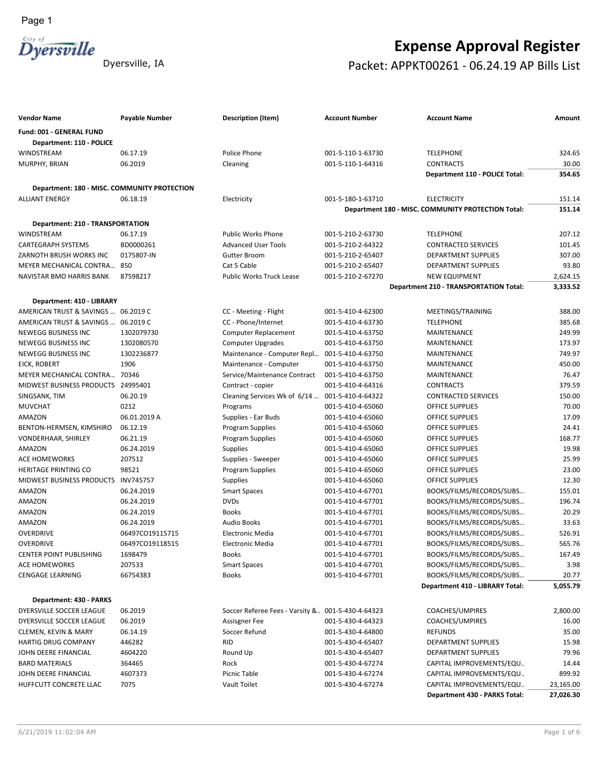

# **Expense Approval Register** Dyersville, IA Packet: APPKT00261 - 06.24.19 AP Bills List

| Vendor Name                                  | <b>Payable Number</b> | Description (Item)                                | <b>Account Number</b> | <b>Account Name</b>                                | Amount    |
|----------------------------------------------|-----------------------|---------------------------------------------------|-----------------------|----------------------------------------------------|-----------|
| Fund: 001 - GENERAL FUND                     |                       |                                                   |                       |                                                    |           |
| Department: 110 - POLICE                     |                       |                                                   |                       |                                                    |           |
| WINDSTREAM                                   | 06.17.19              | Police Phone                                      | 001-5-110-1-63730     | <b>TELEPHONE</b>                                   | 324.65    |
| MURPHY, BRIAN                                | 06.2019               | Cleaning                                          | 001-5-110-1-64316     | <b>CONTRACTS</b>                                   | 30.00     |
|                                              |                       |                                                   |                       | Department 110 - POLICE Total:                     | 354.65    |
| Department: 180 - MISC. COMMUNITY PROTECTION |                       |                                                   |                       |                                                    |           |
| <b>ALLIANT ENERGY</b>                        | 06.18.19              | Electricity                                       | 001-5-180-1-63710     | <b>ELECTRICITY</b>                                 | 151.14    |
|                                              |                       |                                                   |                       | Department 180 - MISC. COMMUNITY PROTECTION Total: | 151.14    |
|                                              |                       |                                                   |                       |                                                    |           |
| <b>Department: 210 - TRANSPORTATION</b>      |                       |                                                   |                       |                                                    |           |
| WINDSTREAM                                   | 06.17.19              | Public Works Phone                                | 001-5-210-2-63730     | <b>TELEPHONE</b>                                   | 207.12    |
| <b>CARTEGRAPH SYSTEMS</b>                    | BD0000261             | <b>Advanced User Tools</b>                        | 001-5-210-2-64322     | <b>CONTRACTED SERVICES</b>                         | 101.45    |
| ZARNOTH BRUSH WORKS INC                      | 0175807-IN            | <b>Gutter Broom</b>                               | 001-5-210-2-65407     | <b>DEPARTMENT SUPPLIES</b>                         | 307.00    |
| MEYER MECHANICAL CONTRA                      | 850                   | Cat 5 Cable                                       | 001-5-210-2-65407     | <b>DEPARTMENT SUPPLIES</b>                         | 93.80     |
| NAVISTAR BMO HARRIS BANK                     | 87598217              | <b>Public Works Truck Lease</b>                   | 001-5-210-2-67270     | <b>NEW EQUIPMENT</b>                               | 2,624.15  |
|                                              |                       |                                                   |                       | <b>Department 210 - TRANSPORTATION Total:</b>      | 3,333.52  |
| Department: 410 - LIBRARY                    |                       |                                                   |                       |                                                    |           |
| AMERICAN TRUST & SAVINGS  06.2019 C          |                       | CC - Meeting - Flight                             | 001-5-410-4-62300     | MEETINGS/TRAINING                                  | 388.00    |
| AMERICAN TRUST & SAVINGS  06.2019 C          |                       | CC - Phone/Internet                               | 001-5-410-4-63730     | <b>TELEPHONE</b>                                   | 385.68    |
| <b>NEWEGG BUSINESS INC</b>                   | 1302079730            | Computer Replacement                              | 001-5-410-4-63750     | MAINTENANCE                                        | 249.99    |
| <b>NEWEGG BUSINESS INC</b>                   | 1302080570            | <b>Computer Upgrades</b>                          | 001-5-410-4-63750     | MAINTENANCE                                        | 173.97    |
| NEWEGG BUSINESS INC                          | 1302236877            | Maintenance - Computer Repl                       | 001-5-410-4-63750     | MAINTENANCE                                        | 749.97    |
| EICK, ROBERT                                 | 1906                  | Maintenance - Computer                            | 001-5-410-4-63750     | MAINTENANCE                                        | 450.00    |
| <b>MEYER MECHANICAL CONTRA</b>               | 70346                 | Service/Maintenance Contract                      | 001-5-410-4-63750     | MAINTENANCE                                        | 76.47     |
| MIDWEST BUSINESS PRODUCTS 24995401           |                       | Contract - copier                                 | 001-5-410-4-64316     | <b>CONTRACTS</b>                                   | 379.59    |
| SINGSANK, TIM                                | 06.20.19              | Cleaning Services Wk of 6/14                      | 001-5-410-4-64322     | <b>CONTRACTED SERVICES</b>                         | 150.00    |
| <b>MUVCHAT</b>                               | 0212                  | Programs                                          | 001-5-410-4-65060     | <b>OFFICE SUPPLIES</b>                             | 70.00     |
| AMAZON                                       | 06.01.2019 A          | Supplies - Ear Buds                               | 001-5-410-4-65060     | <b>OFFICE SUPPLIES</b>                             | 17.09     |
| BENTON-HERMSEN, KIMSHIRO                     | 06.12.19              | <b>Program Supplies</b>                           | 001-5-410-4-65060     | <b>OFFICE SUPPLIES</b>                             | 24.41     |
| VONDERHAAR, SHIRLEY                          | 06.21.19              | Program Supplies                                  | 001-5-410-4-65060     | <b>OFFICE SUPPLIES</b>                             | 168.77    |
| AMAZON                                       | 06.24.2019            | <b>Supplies</b>                                   | 001-5-410-4-65060     | <b>OFFICE SUPPLIES</b>                             | 19.98     |
| <b>ACE HOMEWORKS</b>                         | 207512                | Supplies - Sweeper                                | 001-5-410-4-65060     | <b>OFFICE SUPPLIES</b>                             | 25.99     |
| <b>HERITAGE PRINTING CO</b>                  | 98521                 | <b>Program Supplies</b>                           | 001-5-410-4-65060     | <b>OFFICE SUPPLIES</b>                             | 23.00     |
| MIDWEST BUSINESS PRODUCTS                    | <b>INV745757</b>      | Supplies                                          | 001-5-410-4-65060     | <b>OFFICE SUPPLIES</b>                             | 12.30     |
| AMAZON                                       | 06.24.2019            | <b>Smart Spaces</b>                               | 001-5-410-4-67701     | BOOKS/FILMS/RECORDS/SUBS                           | 155.01    |
| AMAZON                                       | 06.24.2019            | <b>DVDs</b>                                       | 001-5-410-4-67701     | BOOKS/FILMS/RECORDS/SUBS                           | 196.74    |
| AMAZON                                       | 06.24.2019            | <b>Books</b>                                      | 001-5-410-4-67701     | BOOKS/FILMS/RECORDS/SUBS                           | 20.29     |
| AMAZON                                       | 06.24.2019            | <b>Audio Books</b>                                | 001-5-410-4-67701     | BOOKS/FILMS/RECORDS/SUBS                           | 33.63     |
| <b>OVERDRIVE</b>                             | 06497CO19115715       | <b>Electronic Media</b>                           | 001-5-410-4-67701     | BOOKS/FILMS/RECORDS/SUBS                           | 526.91    |
| <b>OVERDRIVE</b>                             | 06497CO19118515       | <b>Electronic Media</b>                           | 001-5-410-4-67701     | BOOKS/FILMS/RECORDS/SUBS                           | 565.76    |
| CENTER POINT PUBLISHING                      | 1698479               | <b>Books</b>                                      | 001-5-410-4-67701     | BOOKS/FILMS/RECORDS/SUBS                           | 167.49    |
| <b>ACE HOMEWORKS</b>                         | 207533                | <b>Smart Spaces</b>                               | 001-5-410-4-67701     | BOOKS/FILMS/RECORDS/SUBS                           | 3.98      |
| <b>CENGAGE LEARNING</b>                      | 66754383              | <b>Books</b>                                      | 001-5-410-4-67701     | BOOKS/FILMS/RECORDS/SUBS                           | 20.77     |
|                                              |                       |                                                   |                       | Department 410 - LIBRARY Total:                    | 5,055.79  |
| Department: 430 - PARKS                      |                       |                                                   |                       |                                                    |           |
| DYERSVILLE SOCCER LEAGUE                     | 06.2019               | Soccer Referee Fees - Varsity & 001-5-430-4-64323 |                       | COACHES/UMPIRES                                    | 2,800.00  |
| DYERSVILLE SOCCER LEAGUE                     | 06.2019               | Assisgner Fee                                     | 001-5-430-4-64323     | COACHES/UMPIRES                                    | 16.00     |
| CLEMEN, KEVIN & MARY                         | 06.14.19              | Soccer Refund                                     | 001-5-430-4-64800     | <b>REFUNDS</b>                                     | 35.00     |
| HARTIG DRUG COMPANY                          | 446282                | <b>RID</b>                                        | 001-5-430-4-65407     | <b>DEPARTMENT SUPPLIES</b>                         | 15.98     |
| JOHN DEERE FINANCIAL                         | 4604220               | Round Up                                          | 001-5-430-4-65407     | <b>DEPARTMENT SUPPLIES</b>                         | 79.96     |
| <b>BARD MATERIALS</b>                        | 364465                | Rock                                              | 001-5-430-4-67274     | CAPITAL IMPROVEMENTS/EQU                           | 14.44     |
| JOHN DEERE FINANCIAL                         | 4607373               | Picnic Table                                      | 001-5-430-4-67274     | CAPITAL IMPROVEMENTS/EQU                           | 899.92    |
| HUFFCUTT CONCRETE LLAC                       | 7075                  | Vault Toilet                                      | 001-5-430-4-67274     | CAPITAL IMPROVEMENTS/EQU                           | 23,165.00 |
|                                              |                       |                                                   |                       | Department 430 - PARKS Total:                      | 27,026.30 |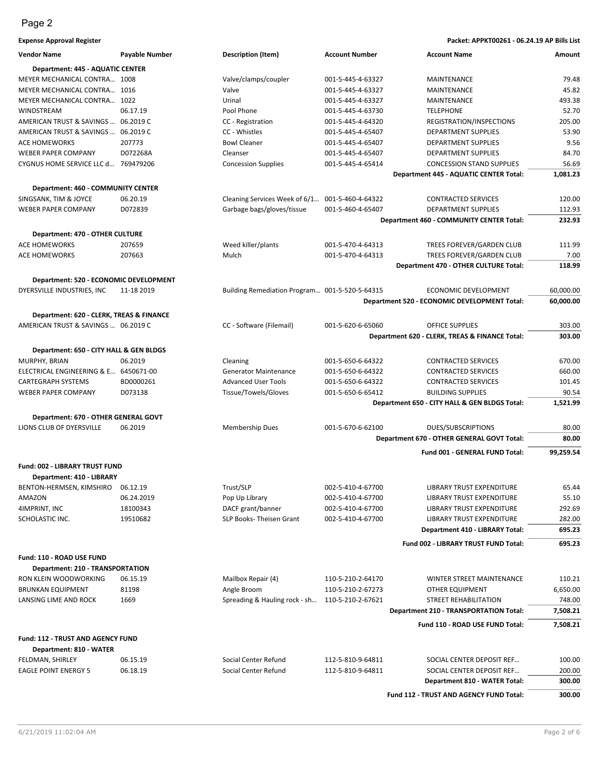**Expense Approval Register Packet: APPKT00261 - 06.24.19 AP Bills List Vendor Name Payable Number Description (Item) Account Number Account Name Amount**

| vendor Name                              | Payable Number | Description (Item)                             | <b>Account Number</b> | Account Name                                    | Amount    |
|------------------------------------------|----------------|------------------------------------------------|-----------------------|-------------------------------------------------|-----------|
| Department: 445 - AQUATIC CENTER         |                |                                                |                       |                                                 |           |
| MEYER MECHANICAL CONTRA 1008             |                | Valve/clamps/coupler                           | 001-5-445-4-63327     | MAINTENANCE                                     | 79.48     |
| MEYER MECHANICAL CONTRA 1016             |                | Valve                                          | 001-5-445-4-63327     | MAINTENANCE                                     | 45.82     |
| MEYER MECHANICAL CONTRA 1022             |                | Urinal                                         | 001-5-445-4-63327     | MAINTENANCE                                     | 493.38    |
| WINDSTREAM                               | 06.17.19       | Pool Phone                                     | 001-5-445-4-63730     | <b>TELEPHONE</b>                                | 52.70     |
| AMERICAN TRUST & SAVINGS  06.2019 C      |                | CC - Registration                              | 001-5-445-4-64320     | REGISTRATION/INSPECTIONS                        | 205.00    |
| AMERICAN TRUST & SAVINGS  06.2019 C      |                | CC - Whistles                                  | 001-5-445-4-65407     | DEPARTMENT SUPPLIES                             | 53.90     |
| ACE HOMEWORKS                            | 207773         | <b>Bowl Cleaner</b>                            | 001-5-445-4-65407     | DEPARTMENT SUPPLIES                             | 9.56      |
| <b>WEBER PAPER COMPANY</b>               | D072268A       | Cleanser                                       | 001-5-445-4-65407     | <b>DEPARTMENT SUPPLIES</b>                      | 84.70     |
| CYGNUS HOME SERVICE LLC d 769479206      |                | <b>Concession Supplies</b>                     | 001-5-445-4-65414     | <b>CONCESSION STAND SUPPLIES</b>                | 56.69     |
|                                          |                |                                                |                       | <b>Department 445 - AQUATIC CENTER Total:</b>   | 1,081.23  |
| Department: 460 - COMMUNITY CENTER       |                |                                                |                       |                                                 |           |
| SINGSANK, TIM & JOYCE                    | 06.20.19       | Cleaning Services Week of 6/1                  | 001-5-460-4-64322     | <b>CONTRACTED SERVICES</b>                      | 120.00    |
| <b>WEBER PAPER COMPANY</b>               | D072839        | Garbage bags/gloves/tissue                     | 001-5-460-4-65407     | <b>DEPARTMENT SUPPLIES</b>                      | 112.93    |
|                                          |                |                                                |                       | <b>Department 460 - COMMUNITY CENTER Total:</b> | 232.93    |
|                                          |                |                                                |                       |                                                 |           |
| Department: 470 - OTHER CULTURE          |                |                                                |                       |                                                 |           |
| <b>ACE HOMEWORKS</b>                     | 207659         | Weed killer/plants                             | 001-5-470-4-64313     | TREES FOREVER/GARDEN CLUB                       | 111.99    |
| <b>ACE HOMEWORKS</b>                     | 207663         | Mulch                                          | 001-5-470-4-64313     | TREES FOREVER/GARDEN CLUB                       | 7.00      |
|                                          |                |                                                |                       | Department 470 - OTHER CULTURE Total:           | 118.99    |
| Department: 520 - ECONOMIC DEVELOPMENT   |                |                                                |                       |                                                 |           |
| DYERSVILLE INDUSTRIES, INC               | 11-18 2019     | Building Remediation Program 001-5-520-5-64315 |                       | ECONOMIC DEVELOPMENT                            | 60,000.00 |
|                                          |                |                                                |                       | Department 520 - ECONOMIC DEVELOPMENT Total:    | 60,000.00 |
|                                          |                |                                                |                       |                                                 |           |
| Department: 620 - CLERK, TREAS & FINANCE |                |                                                |                       |                                                 |           |
| AMERICAN TRUST & SAVINGS  06.2019 C      |                | CC - Software (Filemail)                       | 001-5-620-6-65060     | <b>OFFICE SUPPLIES</b>                          | 303.00    |
|                                          |                |                                                |                       | Department 620 - CLERK, TREAS & FINANCE Total:  | 303.00    |
| Department: 650 - CITY HALL & GEN BLDGS  |                |                                                |                       |                                                 |           |
| MURPHY, BRIAN                            | 06.2019        | Cleaning                                       | 001-5-650-6-64322     | <b>CONTRACTED SERVICES</b>                      | 670.00    |
| ELECTRICAL ENGINEERING & E 6450671-00    |                | <b>Generator Maintenance</b>                   | 001-5-650-6-64322     | <b>CONTRACTED SERVICES</b>                      | 660.00    |
| CARTEGRAPH SYSTEMS                       | BD0000261      | <b>Advanced User Tools</b>                     | 001-5-650-6-64322     | <b>CONTRACTED SERVICES</b>                      | 101.45    |
| <b>WEBER PAPER COMPANY</b>               | D073138        | Tissue/Towels/Gloves                           | 001-5-650-6-65412     | <b>BUILDING SUPPLIES</b>                        | 90.54     |
|                                          |                |                                                |                       | Department 650 - CITY HALL & GEN BLDGS Total:   | 1,521.99  |
| Department: 670 - OTHER GENERAL GOVT     |                |                                                |                       |                                                 |           |
| LIONS CLUB OF DYERSVILLE                 | 06.2019        | <b>Membership Dues</b>                         | 001-5-670-6-62100     | <b>DUES/SUBSCRIPTIONS</b>                       | 80.00     |
|                                          |                |                                                |                       | Department 670 - OTHER GENERAL GOVT Total:      | 80.00     |
|                                          |                |                                                |                       |                                                 |           |
|                                          |                |                                                |                       | Fund 001 - GENERAL FUND Total:                  | 99,259.54 |
| Fund: 002 - LIBRARY TRUST FUND           |                |                                                |                       |                                                 |           |
| Department: 410 - LIBRARY                |                |                                                |                       |                                                 |           |
| BENTON-HERMSEN, KIMSHIRO 06.12.19        |                | Trust/SLP                                      | 002-5-410-4-67700     | <b>LIBRARY TRUST EXPENDITURE</b>                | 65.44     |
| AMAZON                                   | 06.24.2019     | Pop Up Library                                 | 002-5-410-4-67700     | <b>LIBRARY TRUST EXPENDITURE</b>                | 55.10     |
| 4IMPRINT, INC                            | 18100343       | DACF grant/banner                              | 002-5-410-4-67700     | LIBRARY TRUST EXPENDITURE                       | 292.69    |
| SCHOLASTIC INC.                          | 19510682       | SLP Books-Theisen Grant                        | 002-5-410-4-67700     | <b>LIBRARY TRUST EXPENDITURE</b>                | 282.00    |
|                                          |                |                                                |                       | Department 410 - LIBRARY Total:                 | 695.23    |
|                                          |                |                                                |                       | Fund 002 - LIBRARY TRUST FUND Total:            | 695.23    |
|                                          |                |                                                |                       |                                                 |           |
| Fund: 110 - ROAD USE FUND                |                |                                                |                       |                                                 |           |
| Department: 210 - TRANSPORTATION         |                |                                                |                       |                                                 |           |
| RON KLEIN WOODWORKING                    | 06.15.19       | Mailbox Repair (4)                             | 110-5-210-2-64170     | <b>WINTER STREET MAINTENANCE</b>                | 110.21    |
| <b>BRUNKAN EQUIPMENT</b>                 | 81198          | Angle Broom                                    | 110-5-210-2-67273     | OTHER EQUIPMENT                                 | 6,650.00  |
| LANSING LIME AND ROCK                    | 1669           | Spreading & Hauling rock - sh                  | 110-5-210-2-67621     | STREET REHABILITATION                           | 748.00    |
|                                          |                |                                                |                       | <b>Department 210 - TRANSPORTATION Total:</b>   | 7,508.21  |
|                                          |                |                                                |                       | Fund 110 - ROAD USE FUND Total:                 | 7,508.21  |
|                                          |                |                                                |                       |                                                 |           |
| Fund: 112 - TRUST AND AGENCY FUND        |                |                                                |                       |                                                 |           |
| Department: 810 - WATER                  |                |                                                |                       |                                                 |           |
| FELDMAN, SHIRLEY                         | 06.15.19       | Social Center Refund                           | 112-5-810-9-64811     | SOCIAL CENTER DEPOSIT REF                       | 100.00    |
| <b>EAGLE POINT ENERGY 5</b>              | 06.18.19       | Social Center Refund                           | 112-5-810-9-64811     | SOCIAL CENTER DEPOSIT REF                       | 200.00    |
|                                          |                |                                                |                       | Department 810 - WATER Total:                   | 300.00    |
|                                          |                |                                                |                       | Fund 112 - TRUST AND AGENCY FUND Total:         | 300.00    |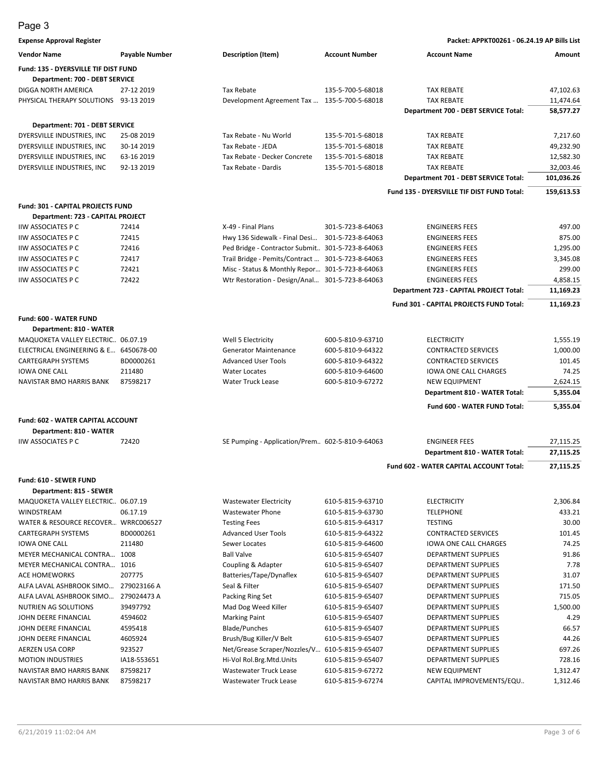**Expense Approval Register Packet: APPKT00261 - 06.24.19 AP Bills List**

| <b>Vendor Name</b>                                   | Payable Number | <b>Description (Item)</b>                         | <b>Account Number</b> | <b>Account Name</b>                        | Amount     |
|------------------------------------------------------|----------------|---------------------------------------------------|-----------------------|--------------------------------------------|------------|
| Fund: 135 - DYERSVILLE TIF DIST FUND                 |                |                                                   |                       |                                            |            |
| Department: 700 - DEBT SERVICE                       |                |                                                   |                       |                                            |            |
| DIGGA NORTH AMERICA                                  | 27-12 2019     | <b>Tax Rebate</b>                                 | 135-5-700-5-68018     | <b>TAX REBATE</b>                          | 47,102.63  |
| PHYSICAL THERAPY SOLUTIONS 93-13 2019                |                | Development Agreement Tax  135-5-700-5-68018      |                       | <b>TAX REBATE</b>                          | 11,474.64  |
|                                                      |                |                                                   |                       | Department 700 - DEBT SERVICE Total:       | 58,577.27  |
| Department: 701 - DEBT SERVICE                       |                |                                                   |                       |                                            |            |
| DYERSVILLE INDUSTRIES, INC                           | 25-08 2019     | Tax Rebate - Nu World                             | 135-5-701-5-68018     | <b>TAX REBATE</b>                          | 7,217.60   |
| DYERSVILLE INDUSTRIES, INC                           | 30-14 2019     | Tax Rebate - JEDA                                 | 135-5-701-5-68018     | <b>TAX REBATE</b>                          | 49,232.90  |
| DYERSVILLE INDUSTRIES, INC.                          | 63-16 2019     | Tax Rebate - Decker Concrete                      | 135-5-701-5-68018     | TAX REBATE                                 | 12,582.30  |
| DYERSVILLE INDUSTRIES, INC                           | 92-13 2019     | Tax Rebate - Dardis                               | 135-5-701-5-68018     | <b>TAX REBATE</b>                          | 32,003.46  |
|                                                      |                |                                                   |                       | Department 701 - DEBT SERVICE Total:       | 101,036.26 |
|                                                      |                |                                                   |                       | Fund 135 - DYERSVILLE TIF DIST FUND Total: | 159,613.53 |
|                                                      |                |                                                   |                       |                                            |            |
| Fund: 301 - CAPITAL PROJECTS FUND                    |                |                                                   |                       |                                            |            |
| Department: 723 - CAPITAL PROJECT                    |                |                                                   |                       |                                            |            |
| <b>IIW ASSOCIATES P C</b>                            | 72414          | X-49 - Final Plans                                | 301-5-723-8-64063     | <b>ENGINEERS FEES</b>                      | 497.00     |
| <b>IIW ASSOCIATES P C</b>                            | 72415          | Hwy 136 Sidewalk - Final Desi 301-5-723-8-64063   |                       | <b>ENGINEERS FEES</b>                      | 875.00     |
| <b>IIW ASSOCIATES P C</b>                            | 72416          | Ped Bridge - Contractor Submit 301-5-723-8-64063  |                       | <b>ENGINEERS FEES</b>                      | 1,295.00   |
| <b>IIW ASSOCIATES P C</b>                            | 72417          | Trail Bridge - Pemits/Contract  301-5-723-8-64063 |                       | <b>ENGINEERS FEES</b>                      | 3,345.08   |
| <b>IIW ASSOCIATES P C</b>                            | 72421          | Misc - Status & Monthly Repor 301-5-723-8-64063   |                       | <b>ENGINEERS FEES</b>                      | 299.00     |
| <b>IIW ASSOCIATES P C</b>                            | 72422          | Wtr Restoration - Design/Anal 301-5-723-8-64063   |                       | <b>ENGINEERS FEES</b>                      | 4,858.15   |
|                                                      |                |                                                   |                       | Department 723 - CAPITAL PROJECT Total:    | 11,169.23  |
|                                                      |                |                                                   |                       | Fund 301 - CAPITAL PROJECTS FUND Total:    | 11,169.23  |
| Fund: 600 - WATER FUND                               |                |                                                   |                       |                                            |            |
| Department: 810 - WATER                              |                |                                                   |                       |                                            |            |
| MAQUOKETA VALLEY ELECTRIC 06.07.19                   |                | Well 5 Electricity                                | 600-5-810-9-63710     | <b>ELECTRICITY</b>                         | 1,555.19   |
| ELECTRICAL ENGINEERING & E 6450678-00                |                | <b>Generator Maintenance</b>                      | 600-5-810-9-64322     | <b>CONTRACTED SERVICES</b>                 | 1,000.00   |
| CARTEGRAPH SYSTEMS                                   | BD0000261      | <b>Advanced User Tools</b>                        | 600-5-810-9-64322     | <b>CONTRACTED SERVICES</b>                 | 101.45     |
| <b>IOWA ONE CALL</b>                                 | 211480         | <b>Water Locates</b>                              | 600-5-810-9-64600     | <b>IOWA ONE CALL CHARGES</b>               | 74.25      |
| NAVISTAR BMO HARRIS BANK                             | 87598217       | Water Truck Lease                                 | 600-5-810-9-67272     | <b>NEW EQUIPMENT</b>                       | 2,624.15   |
|                                                      |                |                                                   |                       | Department 810 - WATER Total:              | 5,355.04   |
|                                                      |                |                                                   |                       | Fund 600 - WATER FUND Total:               | 5,355.04   |
| Fund: 602 - WATER CAPITAL ACCOUNT                    |                |                                                   |                       |                                            |            |
|                                                      |                |                                                   |                       |                                            |            |
| Department: 810 - WATER<br><b>IIW ASSOCIATES P C</b> | 72420          |                                                   |                       | <b>ENGINEER FEES</b>                       | 27,115.25  |
|                                                      |                | SE Pumping - Application/Prem 602-5-810-9-64063   |                       |                                            | 27,115.25  |
|                                                      |                |                                                   |                       | Department 810 - WATER Total:              |            |
|                                                      |                |                                                   |                       | Fund 602 - WATER CAPITAL ACCOUNT Total:    | 27,115.25  |
| Fund: 610 - SEWER FUND                               |                |                                                   |                       |                                            |            |
| Department: 815 - SEWER                              |                |                                                   |                       |                                            |            |
| MAQUOKETA VALLEY ELECTRIC 06.07.19                   |                | <b>Wastewater Electricity</b>                     | 610-5-815-9-63710     | <b>ELECTRICITY</b>                         | 2,306.84   |
| WINDSTREAM                                           | 06.17.19       | <b>Wastewater Phone</b>                           | 610-5-815-9-63730     | <b>TELEPHONE</b>                           | 433.21     |
| WATER & RESOURCE RECOVER WRRC006527                  |                | <b>Testing Fees</b>                               | 610-5-815-9-64317     | <b>TESTING</b>                             | 30.00      |
| <b>CARTEGRAPH SYSTEMS</b>                            | BD0000261      | <b>Advanced User Tools</b>                        | 610-5-815-9-64322     | <b>CONTRACTED SERVICES</b>                 | 101.45     |
| <b>IOWA ONE CALL</b>                                 | 211480         | Sewer Locates                                     | 610-5-815-9-64600     | <b>IOWA ONE CALL CHARGES</b>               | 74.25      |
| MEYER MECHANICAL CONTRA 1008                         |                | <b>Ball Valve</b>                                 | 610-5-815-9-65407     | DEPARTMENT SUPPLIES                        | 91.86      |
| MEYER MECHANICAL CONTRA 1016                         |                | Coupling & Adapter                                | 610-5-815-9-65407     | DEPARTMENT SUPPLIES                        | 7.78       |
| <b>ACE HOMEWORKS</b>                                 | 207775         | Batteries/Tape/Dynaflex                           | 610-5-815-9-65407     | <b>DEPARTMENT SUPPLIES</b>                 | 31.07      |
| ALFA LAVAL ASHBROOK SIMO 279023166 A                 |                | Seal & Filter                                     | 610-5-815-9-65407     | <b>DEPARTMENT SUPPLIES</b>                 | 171.50     |
| ALFA LAVAL ASHBROOK SIMO                             | 279024473 A    | Packing Ring Set                                  | 610-5-815-9-65407     | <b>DEPARTMENT SUPPLIES</b>                 | 715.05     |
| NUTRIEN AG SOLUTIONS                                 | 39497792       | Mad Dog Weed Killer                               | 610-5-815-9-65407     | DEPARTMENT SUPPLIES                        | 1,500.00   |
| JOHN DEERE FINANCIAL                                 | 4594602        | <b>Marking Paint</b>                              | 610-5-815-9-65407     | <b>DEPARTMENT SUPPLIES</b>                 | 4.29       |
| JOHN DEERE FINANCIAL                                 | 4595418        | <b>Blade/Punches</b>                              | 610-5-815-9-65407     | <b>DEPARTMENT SUPPLIES</b>                 | 66.57      |
| JOHN DEERE FINANCIAL                                 | 4605924        | Brush/Bug Killer/V Belt                           | 610-5-815-9-65407     | <b>DEPARTMENT SUPPLIES</b>                 | 44.26      |
| AERZEN USA CORP                                      | 923527         | Net/Grease Scraper/Nozzles/V 610-5-815-9-65407    |                       | DEPARTMENT SUPPLIES                        | 697.26     |
| <b>MOTION INDUSTRIES</b>                             | IA18-553651    | Hi-Vol Rol.Brg.Mtd.Units                          | 610-5-815-9-65407     | DEPARTMENT SUPPLIES                        | 728.16     |
| NAVISTAR BMO HARRIS BANK                             | 87598217       | Wastewater Truck Lease                            | 610-5-815-9-67272     | <b>NEW EQUIPMENT</b>                       | 1,312.47   |
| NAVISTAR BMO HARRIS BANK                             | 87598217       | Wastewater Truck Lease                            | 610-5-815-9-67274     | CAPITAL IMPROVEMENTS/EQU                   | 1,312.46   |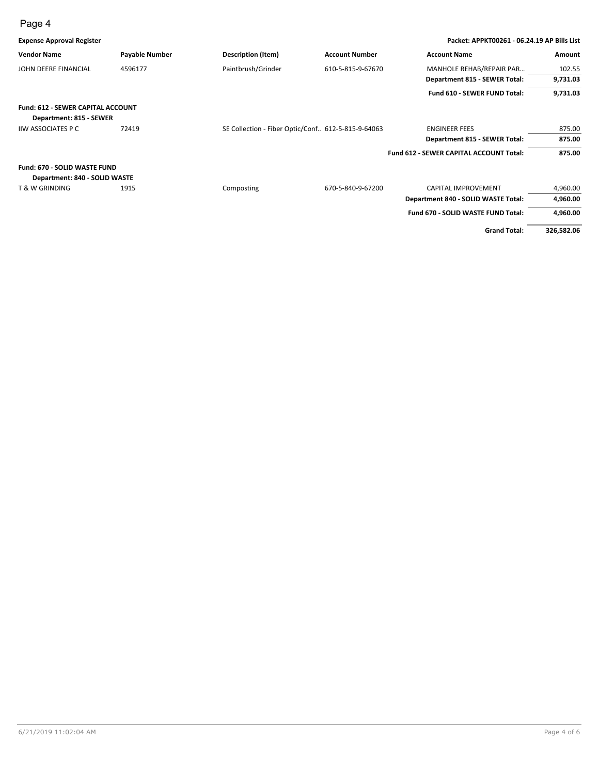| <b>Expense Approval Register</b>         |                       |                                                      |                       | Packet: APPKT00261 - 06.24.19 AP Bills List    |            |
|------------------------------------------|-----------------------|------------------------------------------------------|-----------------------|------------------------------------------------|------------|
| <b>Vendor Name</b>                       | <b>Payable Number</b> | Description (Item)                                   | <b>Account Number</b> | <b>Account Name</b>                            | Amount     |
| JOHN DEERE FINANCIAL                     | 4596177               | Paintbrush/Grinder                                   | 610-5-815-9-67670     | MANHOLE REHAB/REPAIR PAR                       | 102.55     |
|                                          |                       |                                                      |                       | Department 815 - SEWER Total:                  | 9,731.03   |
|                                          |                       |                                                      |                       | Fund 610 - SEWER FUND Total:                   | 9,731.03   |
| <b>Fund: 612 - SEWER CAPITAL ACCOUNT</b> |                       |                                                      |                       |                                                |            |
| Department: 815 - SEWER                  |                       |                                                      |                       |                                                |            |
| <b>IIW ASSOCIATES P C</b>                | 72419                 | SE Collection - Fiber Optic/Conf., 612-5-815-9-64063 |                       | <b>ENGINEER FEES</b>                           | 875.00     |
|                                          |                       |                                                      |                       | Department 815 - SEWER Total:                  | 875.00     |
|                                          |                       |                                                      |                       | <b>Fund 612 - SEWER CAPITAL ACCOUNT Total:</b> | 875.00     |
| Fund: 670 - SOLID WASTE FUND             |                       |                                                      |                       |                                                |            |
| Department: 840 - SOLID WASTE            |                       |                                                      |                       |                                                |            |
| <b>T &amp; W GRINDING</b>                | 1915                  | Composting                                           | 670-5-840-9-67200     | <b>CAPITAL IMPROVEMENT</b>                     | 4,960.00   |
|                                          |                       |                                                      |                       | Department 840 - SOLID WASTE Total:            | 4,960.00   |
|                                          |                       |                                                      |                       | Fund 670 - SOLID WASTE FUND Total:             | 4,960.00   |
|                                          |                       |                                                      |                       | <b>Grand Total:</b>                            | 326,582.06 |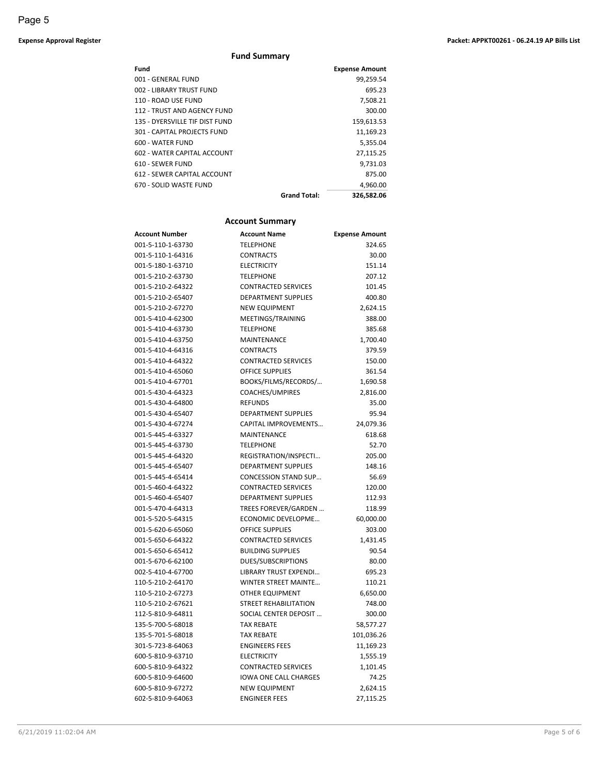#### **Expense Approval Register Packet: APPKT00261 - 06.24.19 AP Bills List**

#### **Fund Summary**

| <b>Expense Amount</b>             |
|-----------------------------------|
| 99,259.54                         |
| 695.23                            |
| 7,508.21                          |
| 300.00                            |
| 159,613.53                        |
| 11,169.23                         |
| 5,355.04                          |
| 27,115.25                         |
| 9,731.03                          |
| 875.00                            |
| 4.960.00                          |
| <b>Grand Total:</b><br>326.582.06 |
|                                   |

#### **Account Summary**

| <b>Account Number</b> | <b>Account Name</b>          | <b>Expense Amount</b> |
|-----------------------|------------------------------|-----------------------|
| 001-5-110-1-63730     | <b>TELEPHONE</b>             | 324.65                |
| 001-5-110-1-64316     | <b>CONTRACTS</b>             | 30.00                 |
| 001-5-180-1-63710     | <b>ELECTRICITY</b>           | 151.14                |
| 001-5-210-2-63730     | <b>TELEPHONE</b>             | 207.12                |
| 001-5-210-2-64322     | <b>CONTRACTED SERVICES</b>   | 101.45                |
| 001-5-210-2-65407     | <b>DEPARTMENT SUPPLIES</b>   | 400.80                |
| 001-5-210-2-67270     | <b>NEW EQUIPMENT</b>         | 2,624.15              |
| 001-5-410-4-62300     | MEETINGS/TRAINING            | 388.00                |
| 001-5-410-4-63730     | <b>TELEPHONE</b>             | 385.68                |
| 001-5-410-4-63750     | MAINTENANCE                  | 1,700.40              |
| 001-5-410-4-64316     | <b>CONTRACTS</b>             | 379.59                |
| 001-5-410-4-64322     | <b>CONTRACTED SERVICES</b>   | 150.00                |
| 001-5-410-4-65060     | <b>OFFICE SUPPLIES</b>       | 361.54                |
| 001-5-410-4-67701     | BOOKS/FILMS/RECORDS/         | 1,690.58              |
| 001-5-430-4-64323     | COACHES/UMPIRES              | 2,816.00              |
| 001-5-430-4-64800     | <b>REFUNDS</b>               | 35.00                 |
| 001-5-430-4-65407     | <b>DEPARTMENT SUPPLIES</b>   | 95.94                 |
| 001-5-430-4-67274     | <b>CAPITAL IMPROVEMENTS</b>  | 24,079.36             |
| 001-5-445-4-63327     | MAINTENANCE                  | 618.68                |
| 001-5-445-4-63730     | <b>TELEPHONE</b>             | 52.70                 |
| 001-5-445-4-64320     | REGISTRATION/INSPECTI        | 205.00                |
| 001-5-445-4-65407     | <b>DEPARTMENT SUPPLIES</b>   | 148.16                |
| 001-5-445-4-65414     | <b>CONCESSION STAND SUP</b>  | 56.69                 |
| 001-5-460-4-64322     | <b>CONTRACTED SERVICES</b>   | 120.00                |
| 001-5-460-4-65407     | <b>DEPARTMENT SUPPLIES</b>   | 112.93                |
| 001-5-470-4-64313     | TREES FOREVER/GARDEN         | 118.99                |
| 001-5-520-5-64315     | ECONOMIC DEVELOPME           | 60,000.00             |
| 001-5-620-6-65060     | <b>OFFICE SUPPLIES</b>       | 303.00                |
| 001-5-650-6-64322     | <b>CONTRACTED SERVICES</b>   | 1,431.45              |
| 001-5-650-6-65412     | <b>BUILDING SUPPLIES</b>     | 90.54                 |
| 001-5-670-6-62100     | <b>DUES/SUBSCRIPTIONS</b>    | 80.00                 |
| 002-5-410-4-67700     | LIBRARY TRUST EXPENDI        | 695.23                |
| 110-5-210-2-64170     | <b>WINTER STREET MAINTE</b>  | 110.21                |
| 110-5-210-2-67273     | <b>OTHER EQUIPMENT</b>       | 6,650.00              |
| 110-5-210-2-67621     | <b>STREET REHABILITATION</b> | 748.00                |
| 112-5-810-9-64811     | SOCIAL CENTER DEPOSIT        | 300.00                |
| 135-5-700-5-68018     | <b>TAX REBATE</b>            | 58,577.27             |
| 135-5-701-5-68018     | <b>TAX REBATE</b>            | 101,036.26            |
| 301-5-723-8-64063     | <b>ENGINEERS FEES</b>        | 11,169.23             |
| 600-5-810-9-63710     | <b>ELECTRICITY</b>           | 1,555.19              |
| 600-5-810-9-64322     | <b>CONTRACTED SERVICES</b>   | 1,101.45              |
| 600-5-810-9-64600     | <b>IOWA ONE CALL CHARGES</b> | 74.25                 |
| 600-5-810-9-67272     | <b>NEW EQUIPMENT</b>         | 2,624.15              |
| 602-5-810-9-64063     | <b>ENGINEER FEES</b>         | 27,115.25             |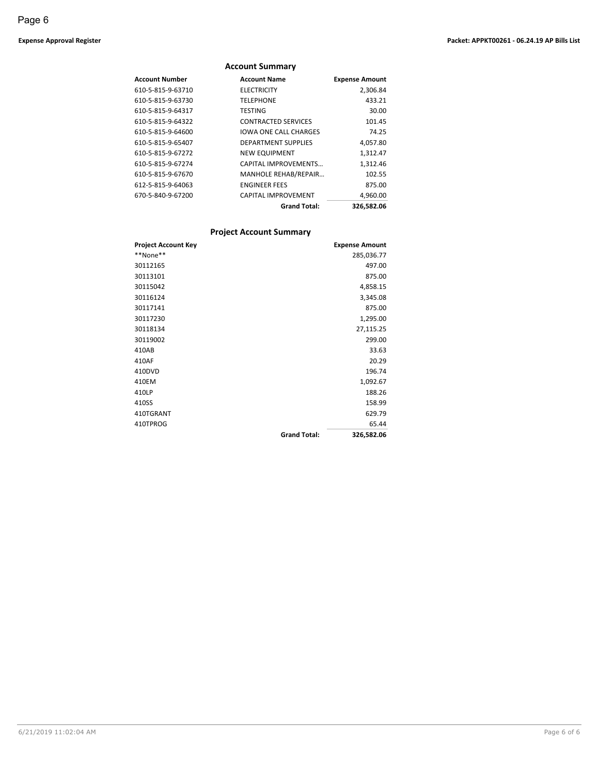#### **Account Summary Account Number Account Name Expense Amount** 610-5-815-9-63710 ELECTRICITY 2,306.84 610-5-815-9-63730 TELEPHONE 433.21 610-5-815-9-64317 TESTING 30.00 610-5-815-9-64322 CONTRACTED SERVICES 101.45 610-5-815-9-64600 IOWA ONE CALL CHARGES 74.25 610-5-815-9-65407 DEPARTMENT SUPPLIES 4,057.80 610-5-815-9-67272 NEW EQUIPMENT 1,312.47 610-5-815-9-67274 CAPITAL IMPROVEMENTS… 1,312.46 610-5-815-9-67670 MANHOLE REHAB/REPAIR… 102.55 612-5-815-9-64063 ENGINEER FEES 875.00 670-5-840-9-67200 CAPITAL IMPROVEMENT 4,960.00 **Grand Total: 326,582.06**

#### **Project Account Summary**

| <b>Project Account Key</b> |                     | <b>Expense Amount</b> |
|----------------------------|---------------------|-----------------------|
| **None**                   |                     | 285,036.77            |
| 30112165                   |                     | 497.00                |
| 30113101                   |                     | 875.00                |
| 30115042                   |                     | 4,858.15              |
| 30116124                   |                     | 3,345.08              |
| 30117141                   |                     | 875.00                |
| 30117230                   |                     | 1,295.00              |
| 30118134                   |                     | 27,115.25             |
| 30119002                   |                     | 299.00                |
| 410AB                      |                     | 33.63                 |
| 410AF                      |                     | 20.29                 |
| 410DVD                     |                     | 196.74                |
| 410EM                      |                     | 1,092.67              |
| 410LP                      |                     | 188.26                |
| 410SS                      |                     | 158.99                |
| 410TGRANT                  |                     | 629.79                |
| 410TPROG                   |                     | 65.44                 |
|                            | <b>Grand Total:</b> | 326,582.06            |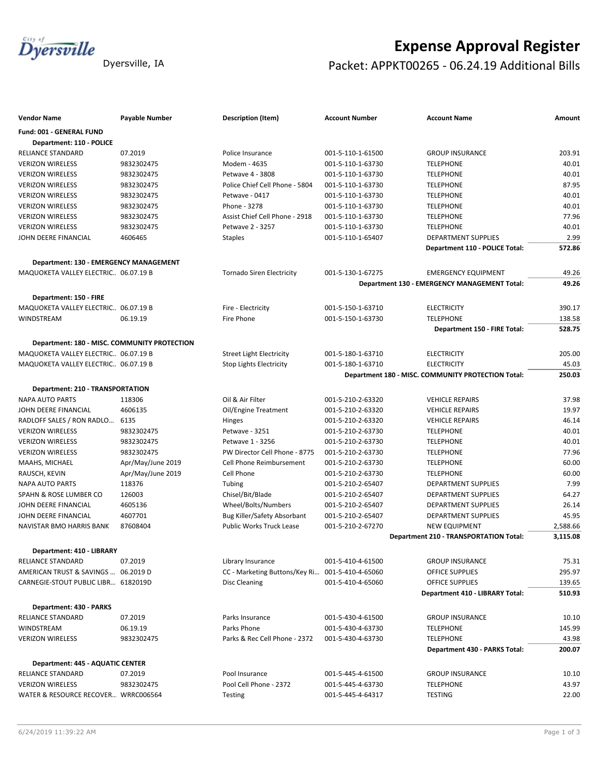

# **Expense Approval Register** Dyersville, IA **Packet: APPKT00265 - 06.24.19 Additional Bills**

| <b>Vendor Name</b>                            | <b>Payable Number</b> | <b>Description (Item)</b>                       | <b>Account Number</b> | <b>Account Name</b>                                | Amount   |
|-----------------------------------------------|-----------------------|-------------------------------------------------|-----------------------|----------------------------------------------------|----------|
| Fund: 001 - GENERAL FUND                      |                       |                                                 |                       |                                                    |          |
| Department: 110 - POLICE                      |                       |                                                 |                       |                                                    |          |
| RELIANCE STANDARD                             | 07.2019               | Police Insurance                                | 001-5-110-1-61500     | <b>GROUP INSURANCE</b>                             | 203.91   |
| <b>VERIZON WIRELESS</b>                       | 9832302475            | Modem - 4635                                    | 001-5-110-1-63730     | <b>TELEPHONE</b>                                   | 40.01    |
| <b>VERIZON WIRELESS</b>                       | 9832302475            | Petwave 4 - 3808                                | 001-5-110-1-63730     | <b>TELEPHONE</b>                                   | 40.01    |
| <b>VERIZON WIRELESS</b>                       | 9832302475            | Police Chief Cell Phone - 5804                  | 001-5-110-1-63730     | <b>TELEPHONE</b>                                   | 87.95    |
| <b>VERIZON WIRELESS</b>                       | 9832302475            | Petwave - 0417                                  | 001-5-110-1-63730     | <b>TELEPHONE</b>                                   | 40.01    |
| <b>VERIZON WIRELESS</b>                       | 9832302475            | Phone - 3278                                    | 001-5-110-1-63730     | <b>TELEPHONE</b>                                   | 40.01    |
| <b>VERIZON WIRELESS</b>                       | 9832302475            | Assist Chief Cell Phone - 2918                  | 001-5-110-1-63730     | <b>TELEPHONE</b>                                   | 77.96    |
| <b>VERIZON WIRELESS</b>                       | 9832302475            | Petwave 2 - 3257                                | 001-5-110-1-63730     | <b>TELEPHONE</b>                                   | 40.01    |
| JOHN DEERE FINANCIAL                          | 4606465               | <b>Staples</b>                                  | 001-5-110-1-65407     | <b>DEPARTMENT SUPPLIES</b>                         | 2.99     |
|                                               |                       |                                                 |                       | Department 110 - POLICE Total:                     | 572.86   |
| <b>Department: 130 - EMERGENCY MANAGEMENT</b> |                       |                                                 |                       |                                                    |          |
| MAQUOKETA VALLEY ELECTRIC 06.07.19 B          |                       | <b>Tornado Siren Electricity</b>                | 001-5-130-1-67275     | <b>EMERGENCY EQUIPMENT</b>                         | 49.26    |
|                                               |                       |                                                 |                       | Department 130 - EMERGENCY MANAGEMENT Total:       | 49.26    |
| Department: 150 - FIRE                        |                       |                                                 |                       |                                                    |          |
| MAQUOKETA VALLEY ELECTRIC 06.07.19 B          |                       | Fire - Electricity                              | 001-5-150-1-63710     | <b>ELECTRICITY</b>                                 | 390.17   |
| <b>WINDSTREAM</b>                             | 06.19.19              | Fire Phone                                      | 001-5-150-1-63730     | <b>TELEPHONE</b>                                   | 138.58   |
|                                               |                       |                                                 |                       | Department 150 - FIRE Total:                       | 528.75   |
|                                               |                       |                                                 |                       |                                                    |          |
| Department: 180 - MISC. COMMUNITY PROTECTION  |                       |                                                 |                       |                                                    |          |
| MAQUOKETA VALLEY ELECTRIC 06.07.19 B          |                       | <b>Street Light Electricity</b>                 | 001-5-180-1-63710     | <b>ELECTRICITY</b>                                 | 205.00   |
| MAQUOKETA VALLEY ELECTRIC 06.07.19 B          |                       | <b>Stop Lights Electricity</b>                  | 001-5-180-1-63710     | <b>ELECTRICITY</b>                                 | 45.03    |
|                                               |                       |                                                 |                       | Department 180 - MISC. COMMUNITY PROTECTION Total: | 250.03   |
| Department: 210 - TRANSPORTATION              |                       |                                                 |                       |                                                    |          |
| <b>NAPA AUTO PARTS</b>                        | 118306                | Oil & Air Filter                                | 001-5-210-2-63320     | <b>VEHICLE REPAIRS</b>                             | 37.98    |
| JOHN DEERE FINANCIAL                          | 4606135               | Oil/Engine Treatment                            | 001-5-210-2-63320     | <b>VEHICLE REPAIRS</b>                             | 19.97    |
| RADLOFF SALES / RON RADLO                     | 6135                  | Hinges                                          | 001-5-210-2-63320     | <b>VEHICLE REPAIRS</b>                             | 46.14    |
| <b>VERIZON WIRELESS</b>                       | 9832302475            | Petwave - 3251                                  | 001-5-210-2-63730     | <b>TELEPHONE</b>                                   | 40.01    |
| <b>VERIZON WIRELESS</b>                       | 9832302475            | Petwave 1 - 3256                                | 001-5-210-2-63730     | <b>TELEPHONE</b>                                   | 40.01    |
| <b>VERIZON WIRELESS</b>                       | 9832302475            | PW Director Cell Phone - 8775                   | 001-5-210-2-63730     | <b>TELEPHONE</b>                                   | 77.96    |
| MAAHS, MICHAEL                                | Apr/May/June 2019     | Cell Phone Reimbursement                        | 001-5-210-2-63730     | <b>TELEPHONE</b>                                   | 60.00    |
| RAUSCH, KEVIN                                 | Apr/May/June 2019     | Cell Phone                                      | 001-5-210-2-63730     | <b>TELEPHONE</b>                                   | 60.00    |
| <b>NAPA AUTO PARTS</b>                        | 118376                | Tubing                                          | 001-5-210-2-65407     | <b>DEPARTMENT SUPPLIES</b>                         | 7.99     |
| SPAHN & ROSE LUMBER CO                        | 126003                | Chisel/Bit/Blade                                | 001-5-210-2-65407     | <b>DEPARTMENT SUPPLIES</b>                         | 64.27    |
| JOHN DEERE FINANCIAL                          | 4605136               | Wheel/Bolts/Numbers                             | 001-5-210-2-65407     | <b>DEPARTMENT SUPPLIES</b>                         | 26.14    |
| JOHN DEERE FINANCIAL                          | 4607701               | Bug Killer/Safety Absorbant                     | 001-5-210-2-65407     | <b>DEPARTMENT SUPPLIES</b>                         | 45.95    |
| NAVISTAR BMO HARRIS BANK                      | 87608404              | Public Works Truck Lease                        | 001-5-210-2-67270     | <b>NEW EQUIPMENT</b>                               | 2,588.66 |
|                                               |                       |                                                 |                       | <b>Department 210 - TRANSPORTATION Total:</b>      | 3,115.08 |
| Department: 410 - LIBRARY                     |                       |                                                 |                       |                                                    |          |
| RELIANCE STANDARD                             | 07.2019               | Library Insurance                               | 001-5-410-4-61500     | <b>GROUP INSURANCE</b>                             | 75.31    |
| AMERICAN TRUST & SAVINGS  06.2019 D           |                       | CC - Marketing Buttons/Key Ri 001-5-410-4-65060 |                       | OFFICE SUPPLIES                                    | 295.97   |
| CARNEGIE-STOUT PUBLIC LIBR 6182019D           |                       | <b>Disc Cleaning</b>                            | 001-5-410-4-65060     | <b>OFFICE SUPPLIES</b>                             | 139.65   |
|                                               |                       |                                                 |                       | Department 410 - LIBRARY Total:                    | 510.93   |
| Department: 430 - PARKS                       |                       |                                                 |                       |                                                    |          |
| RELIANCE STANDARD                             | 07.2019               | Parks Insurance                                 | 001-5-430-4-61500     | <b>GROUP INSURANCE</b>                             | 10.10    |
| WINDSTREAM                                    | 06.19.19              | Parks Phone                                     | 001-5-430-4-63730     | <b>TELEPHONE</b>                                   | 145.99   |
| <b>VERIZON WIRELESS</b>                       | 9832302475            | Parks & Rec Cell Phone - 2372                   | 001-5-430-4-63730     | <b>TELEPHONE</b>                                   | 43.98    |
|                                               |                       |                                                 |                       | Department 430 - PARKS Total:                      | 200.07   |
|                                               |                       |                                                 |                       |                                                    |          |
| Department: 445 - AQUATIC CENTER              |                       |                                                 |                       |                                                    |          |
| RELIANCE STANDARD                             | 07.2019               | Pool Insurance                                  | 001-5-445-4-61500     | <b>GROUP INSURANCE</b>                             | 10.10    |
| <b>VERIZON WIRELESS</b>                       | 9832302475            | Pool Cell Phone - 2372                          | 001-5-445-4-63730     | <b>TELEPHONE</b>                                   | 43.97    |
| WATER & RESOURCE RECOVER WRRC006564           |                       | Testing                                         | 001-5-445-4-64317     | <b>TESTING</b>                                     | 22.00    |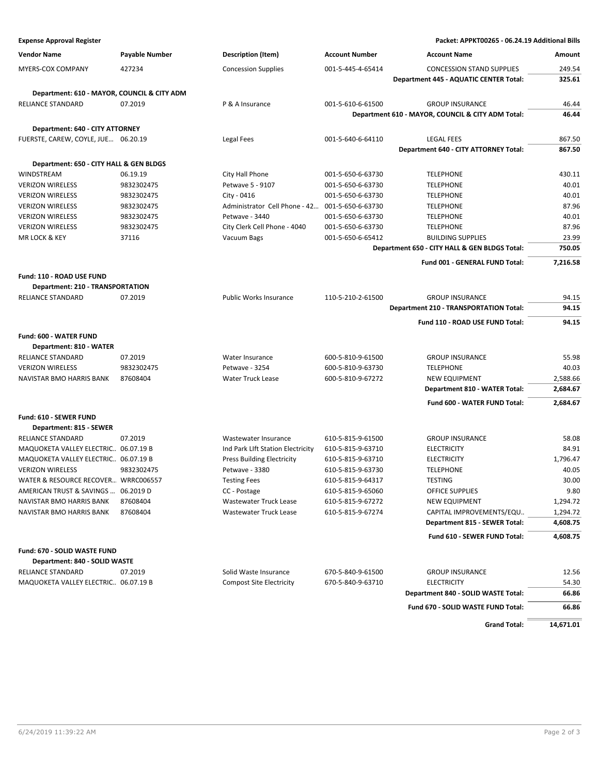**Expense Approval Register Packet: APPKT00265 - 06.24.19 Additional Bills**

| <b>Vendor Name</b>                                             | <b>Payable Number</b>  | <b>Description (Item)</b>                           | <b>Account Number</b>                  | <b>Account Name</b>                               | Amount            |
|----------------------------------------------------------------|------------------------|-----------------------------------------------------|----------------------------------------|---------------------------------------------------|-------------------|
| <b>MYERS-COX COMPANY</b>                                       | 427234                 | <b>Concession Supplies</b>                          | 001-5-445-4-65414                      | <b>CONCESSION STAND SUPPLIES</b>                  | 249.54            |
|                                                                |                        |                                                     |                                        | Department 445 - AQUATIC CENTER Total:            | 325.61            |
| Department: 610 - MAYOR, COUNCIL & CITY ADM                    |                        |                                                     |                                        |                                                   |                   |
| <b>RELIANCE STANDARD</b>                                       | 07.2019                | P & A Insurance                                     | 001-5-610-6-61500                      | <b>GROUP INSURANCE</b>                            | 46.44             |
|                                                                |                        |                                                     |                                        | Department 610 - MAYOR, COUNCIL & CITY ADM Total: | 46.44             |
| Department: 640 - CITY ATTORNEY                                |                        |                                                     |                                        |                                                   |                   |
| FUERSTE, CAREW, COYLE, JUE 06.20.19                            |                        | Legal Fees                                          | 001-5-640-6-64110                      | <b>LEGAL FEES</b>                                 | 867.50            |
|                                                                |                        |                                                     |                                        | Department 640 - CITY ATTORNEY Total:             | 867.50            |
|                                                                |                        |                                                     |                                        |                                                   |                   |
| Department: 650 - CITY HALL & GEN BLDGS<br><b>WINDSTREAM</b>   |                        |                                                     | 001-5-650-6-63730                      |                                                   |                   |
| <b>VERIZON WIRELESS</b>                                        | 06.19.19<br>9832302475 | City Hall Phone<br>Petwave 5 - 9107                 | 001-5-650-6-63730                      | <b>TELEPHONE</b><br><b>TELEPHONE</b>              | 430.11<br>40.01   |
| <b>VERIZON WIRELESS</b>                                        | 9832302475             | City - 0416                                         | 001-5-650-6-63730                      | <b>TELEPHONE</b>                                  | 40.01             |
| <b>VERIZON WIRELESS</b>                                        | 9832302475             | Administrator Cell Phone - 42                       | 001-5-650-6-63730                      | <b>TELEPHONE</b>                                  | 87.96             |
| <b>VERIZON WIRELESS</b>                                        | 9832302475             | Petwave - 3440                                      | 001-5-650-6-63730                      | <b>TELEPHONE</b>                                  | 40.01             |
| <b>VERIZON WIRELESS</b>                                        | 9832302475             | City Clerk Cell Phone - 4040                        | 001-5-650-6-63730                      | <b>TELEPHONE</b>                                  | 87.96             |
| <b>MR LOCK &amp; KEY</b>                                       | 37116                  | Vacuum Bags                                         | 001-5-650-6-65412                      | <b>BUILDING SUPPLIES</b>                          | 23.99             |
|                                                                |                        |                                                     |                                        | Department 650 - CITY HALL & GEN BLDGS Total:     | 750.05            |
|                                                                |                        |                                                     |                                        |                                                   | 7.216.58          |
|                                                                |                        |                                                     |                                        | Fund 001 - GENERAL FUND Total:                    |                   |
| Fund: 110 - ROAD USE FUND                                      |                        |                                                     |                                        |                                                   |                   |
| Department: 210 - TRANSPORTATION                               |                        |                                                     |                                        |                                                   |                   |
| <b>RELIANCE STANDARD</b>                                       | 07.2019                | <b>Public Works Insurance</b>                       | 110-5-210-2-61500                      | <b>GROUP INSURANCE</b>                            | 94.15             |
|                                                                |                        |                                                     |                                        | <b>Department 210 - TRANSPORTATION Total:</b>     | 94.15             |
|                                                                |                        |                                                     |                                        | Fund 110 - ROAD USE FUND Total:                   | 94.15             |
| Fund: 600 - WATER FUND                                         |                        |                                                     |                                        |                                                   |                   |
| Department: 810 - WATER                                        |                        |                                                     |                                        |                                                   |                   |
| RELIANCE STANDARD                                              | 07.2019                | Water Insurance                                     | 600-5-810-9-61500                      | <b>GROUP INSURANCE</b>                            | 55.98             |
| <b>VERIZON WIRELESS</b>                                        | 9832302475             | Petwave - 3254                                      | 600-5-810-9-63730                      | <b>TELEPHONE</b>                                  | 40.03             |
| NAVISTAR BMO HARRIS BANK                                       | 87608404               | <b>Water Truck Lease</b>                            | 600-5-810-9-67272                      | <b>NEW EQUIPMENT</b>                              | 2,588.66          |
|                                                                |                        |                                                     |                                        | Department 810 - WATER Total:                     | 2,684.67          |
|                                                                |                        |                                                     |                                        | Fund 600 - WATER FUND Total:                      | 2,684.67          |
|                                                                |                        |                                                     |                                        |                                                   |                   |
| Fund: 610 - SEWER FUND                                         |                        |                                                     |                                        |                                                   |                   |
| Department: 815 - SEWER                                        |                        |                                                     |                                        |                                                   |                   |
| <b>RELIANCE STANDARD</b>                                       | 07.2019                | Wastewater Insurance                                | 610-5-815-9-61500                      | <b>GROUP INSURANCE</b>                            | 58.08             |
| MAQUOKETA VALLEY ELECTRIC 06.07.19 B                           |                        | Ind Park LIft Station Electricity                   | 610-5-815-9-63710                      | <b>ELECTRICITY</b>                                | 84.91             |
| MAQUOKETA VALLEY ELECTRIC 06.07.19 B                           | 9832302475             | <b>Press Building Electricity</b><br>Petwave - 3380 | 610-5-815-9-63710                      | <b>ELECTRICITY</b><br><b>TELEPHONE</b>            | 1,796.47<br>40.05 |
| <b>VERIZON WIRELESS</b><br>WATER & RESOURCE RECOVER WRRC006557 |                        | <b>Testing Fees</b>                                 | 610-5-815-9-63730<br>610-5-815-9-64317 | <b>TESTING</b>                                    | 30.00             |
| AMERICAN TRUST & SAVINGS                                       | 06.2019 D              | CC - Postage                                        | 610-5-815-9-65060                      | OFFICE SUPPLIES                                   | 9.80              |
| NAVISTAR BMO HARRIS BANK                                       | 87608404               | <b>Wastewater Truck Lease</b>                       | 610-5-815-9-67272                      | <b>NEW EQUIPMENT</b>                              | 1,294.72          |
| NAVISTAR BMO HARRIS BANK                                       | 87608404               | <b>Wastewater Truck Lease</b>                       | 610-5-815-9-67274                      | CAPITAL IMPROVEMENTS/EQU                          | 1,294.72          |
|                                                                |                        |                                                     |                                        | Department 815 - SEWER Total:                     | 4,608.75          |
|                                                                |                        |                                                     |                                        |                                                   |                   |
|                                                                |                        |                                                     |                                        | Fund 610 - SEWER FUND Total:                      | 4,608.75          |
| Fund: 670 - SOLID WASTE FUND                                   |                        |                                                     |                                        |                                                   |                   |
| Department: 840 - SOLID WASTE                                  |                        |                                                     |                                        |                                                   |                   |
| RELIANCE STANDARD                                              | 07.2019                | Solid Waste Insurance                               | 670-5-840-9-61500                      | <b>GROUP INSURANCE</b>                            | 12.56             |
| MAQUOKETA VALLEY ELECTRIC 06.07.19 B                           |                        | <b>Compost Site Electricity</b>                     | 670-5-840-9-63710                      | <b>ELECTRICITY</b>                                | 54.30             |
|                                                                |                        |                                                     |                                        | Department 840 - SOLID WASTE Total:               | 66.86             |
|                                                                |                        |                                                     |                                        | Fund 670 - SOLID WASTE FUND Total:                | 66.86             |
|                                                                |                        |                                                     |                                        |                                                   |                   |
|                                                                |                        |                                                     |                                        | <b>Grand Total:</b>                               | 14,671.01         |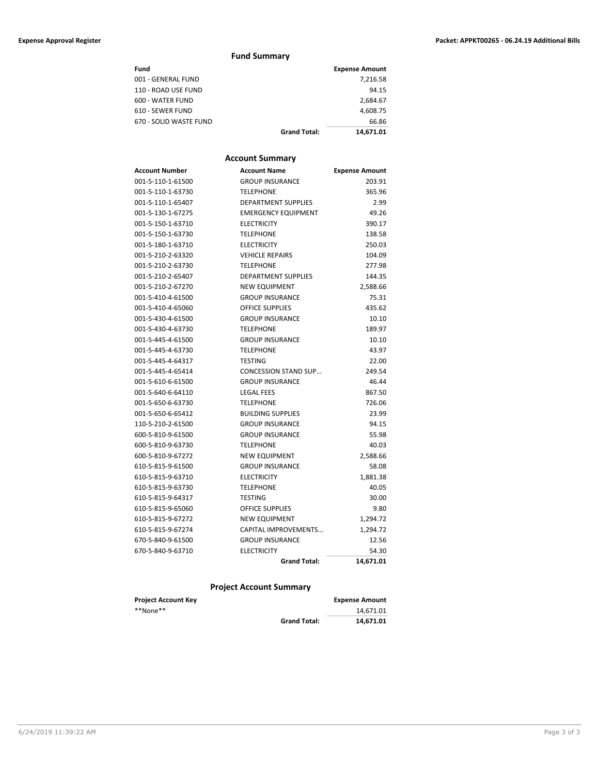#### **Expense Approval Register Packet: APPKT00265 - 06.24.19 Additional Bills**

#### **Fund Summary**

| Fund                   |                     | <b>Expense Amount</b> |
|------------------------|---------------------|-----------------------|
| 001 - GENERAL FUND     |                     | 7.216.58              |
| 110 - ROAD USE FUND    |                     | 94.15                 |
| 600 - WATER FUND       |                     | 2.684.67              |
| 610 - SEWER FUND       |                     | 4,608.75              |
| 670 - SOLID WASTE FUND |                     | 66.86                 |
|                        | <b>Grand Total:</b> | 14.671.01             |

#### **Account Summary**

| Account Number    | <b>Account Name</b>         | <b>Expense Amount</b> |
|-------------------|-----------------------------|-----------------------|
| 001-5-110-1-61500 | <b>GROUP INSURANCE</b>      | 203.91                |
| 001-5-110-1-63730 | <b>TELEPHONE</b>            | 365.96                |
| 001-5-110-1-65407 | <b>DEPARTMENT SUPPLIES</b>  | 2.99                  |
| 001-5-130-1-67275 | <b>EMERGENCY EQUIPMENT</b>  | 49.26                 |
| 001-5-150-1-63710 | <b>ELECTRICITY</b>          | 390.17                |
| 001-5-150-1-63730 | <b>TELEPHONE</b>            | 138.58                |
| 001-5-180-1-63710 | <b>ELECTRICITY</b>          | 250.03                |
| 001-5-210-2-63320 | <b>VEHICLE REPAIRS</b>      | 104.09                |
| 001-5-210-2-63730 | <b>TELEPHONE</b>            | 277.98                |
| 001-5-210-2-65407 | <b>DEPARTMENT SUPPLIES</b>  | 144.35                |
| 001-5-210-2-67270 | <b>NEW EQUIPMENT</b>        | 2,588.66              |
| 001-5-410-4-61500 | <b>GROUP INSURANCE</b>      | 75.31                 |
| 001-5-410-4-65060 | <b>OFFICE SUPPLIES</b>      | 435.62                |
| 001-5-430-4-61500 | <b>GROUP INSURANCE</b>      | 10.10                 |
| 001-5-430-4-63730 | <b>TELEPHONE</b>            | 189.97                |
| 001-5-445-4-61500 | <b>GROUP INSURANCE</b>      | 10.10                 |
| 001-5-445-4-63730 | <b>TELEPHONE</b>            | 43.97                 |
| 001-5-445-4-64317 | <b>TESTING</b>              | 22.00                 |
| 001-5-445-4-65414 | <b>CONCESSION STAND SUP</b> | 249.54                |
| 001-5-610-6-61500 | <b>GROUP INSURANCE</b>      | 46.44                 |
| 001-5-640-6-64110 | <b>LEGAL FEES</b>           | 867.50                |
| 001-5-650-6-63730 | <b>TELEPHONE</b>            | 726.06                |
| 001-5-650-6-65412 | <b>BUILDING SUPPLIES</b>    | 23.99                 |
| 110-5-210-2-61500 | <b>GROUP INSURANCE</b>      | 94.15                 |
| 600-5-810-9-61500 | <b>GROUP INSURANCE</b>      | 55.98                 |
| 600-5-810-9-63730 | <b>TELEPHONE</b>            | 40.03                 |
| 600-5-810-9-67272 | <b>NEW EQUIPMENT</b>        | 2,588.66              |
| 610-5-815-9-61500 | <b>GROUP INSURANCE</b>      | 58.08                 |
| 610-5-815-9-63710 | <b>ELECTRICITY</b>          | 1,881.38              |
| 610-5-815-9-63730 | <b>TELEPHONE</b>            | 40.05                 |
| 610-5-815-9-64317 | <b>TESTING</b>              | 30.00                 |
| 610-5-815-9-65060 | <b>OFFICE SUPPLIES</b>      | 9.80                  |
| 610-5-815-9-67272 | <b>NEW EQUIPMENT</b>        | 1,294.72              |
| 610-5-815-9-67274 | CAPITAL IMPROVEMENTS        | 1,294.72              |
| 670-5-840-9-61500 | <b>GROUP INSURANCE</b>      | 12.56                 |
| 670-5-840-9-63710 | <b>ELECTRICITY</b>          | 54.30                 |
|                   | <b>Grand Total:</b>         | 14,671.01             |

#### **Project Account Summary**

| <b>Project Account Key</b> |                     | <b>Expense Amount</b> |
|----------------------------|---------------------|-----------------------|
| **None**                   |                     | 14.671.01             |
|                            | <b>Grand Total:</b> | 14.671.01             |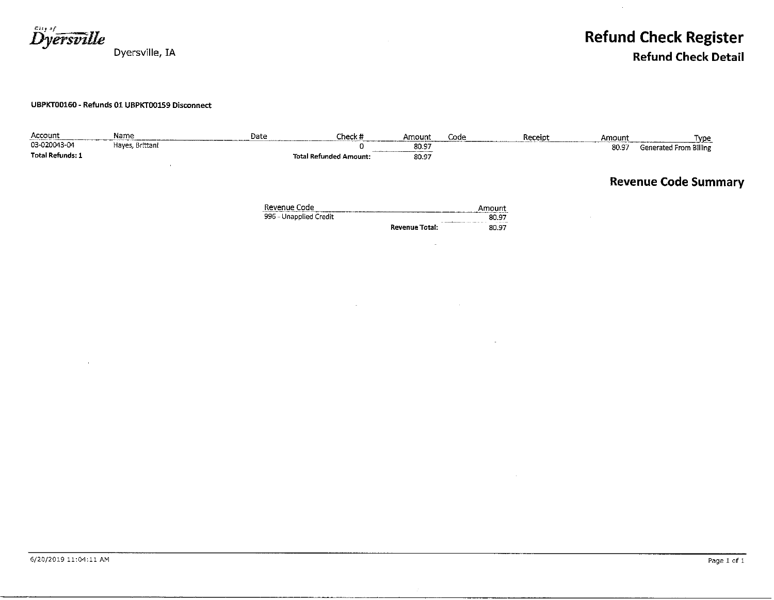**Dyersville** Dyersville, IA

**Refund Check Register Refund Check Detail** 

#### UBPKT00160 - Refunds 01 UBPKT00159 Disconnect

| Account                 | Name            | Date                                   | Check#                        | Amount         | Code            | Receipt | Amount | <u>Type</u>                 |
|-------------------------|-----------------|----------------------------------------|-------------------------------|----------------|-----------------|---------|--------|-----------------------------|
| 03-020043-04            | Hayes, Brittani |                                        | 0                             | 80.97          |                 |         | 80.97  | Generated From Billing      |
| <b>Total Refunds: 1</b> |                 |                                        | <b>Total Refunded Amount:</b> | 80.97          |                 |         |        |                             |
|                         |                 |                                        |                               |                |                 |         |        | <b>Revenue Code Summary</b> |
|                         |                 | Revenue Code<br>996 - Unapplied Credit |                               |                | Amount<br>80.97 |         |        |                             |
|                         |                 |                                        |                               | Revenue Total: | 80.97           |         |        |                             |
|                         |                 |                                        |                               |                |                 |         |        |                             |

 $\sim$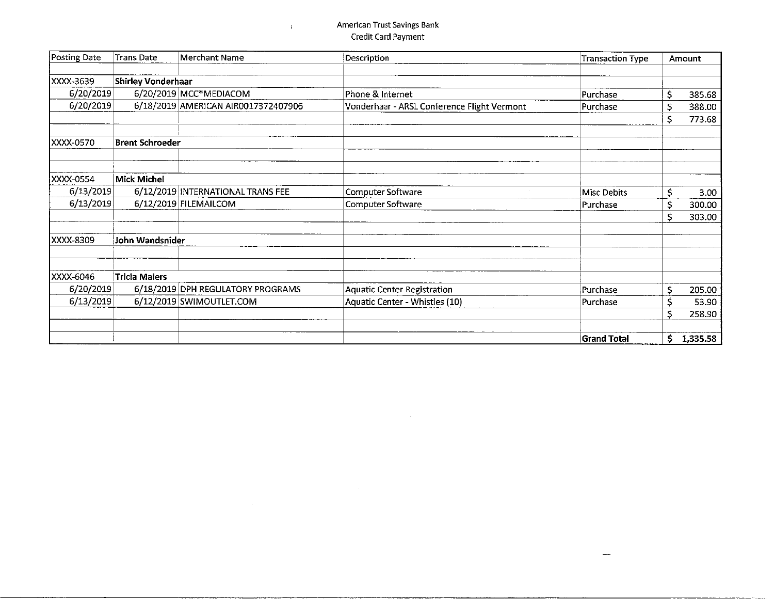#### American Trust Savings Bank Credit Card Payment

 $\bar{\chi}$ 

| Posting Date | <b>Trans Date</b>         | Merchant Name                       | Description                                 | <b>Transaction Type</b> |    | Amount   |
|--------------|---------------------------|-------------------------------------|---------------------------------------------|-------------------------|----|----------|
|              |                           |                                     |                                             |                         |    |          |
| XXXX-3639    | <b>Shirley Vonderhaar</b> |                                     |                                             |                         |    |          |
| 6/20/2019    |                           | 6/20/2019 MCC*MEDIACOM              | Phone & Internet                            | Purchase                | \$ | 385.68   |
| 6/20/2019    |                           | 6/18/2019 AMERICAN AIR0017372407906 | Vonderhaar - ARSL Conference Flight Vermont | Purchase                | \$ | 388.00   |
|              |                           |                                     |                                             |                         | \$ | 773.68   |
| XXXX-0570    | <b>Brent Schroeder</b>    |                                     |                                             |                         |    |          |
|              |                           |                                     |                                             |                         |    |          |
| XXXX-0554    | Mick Michel               |                                     |                                             |                         |    |          |
| 6/13/2019    |                           | 6/12/2019 INTERNATIONAL TRANS FEE   | Computer Software                           | <b>Misc Debits</b>      | Ś  | 3.00     |
| 6/13/2019    |                           | 6/12/2019 FILEMAILCOM               | Computer Software                           | Purchase                | S  | 300.00   |
|              |                           |                                     |                                             |                         | Ś  | 303.00   |
| XXXX-8309    | John Wandsnider           |                                     |                                             |                         |    |          |
|              |                           |                                     |                                             |                         |    |          |
| XXXX-6046    | <b>Tricia Maiers</b>      |                                     |                                             |                         |    |          |
| 6/20/2019    |                           | 6/18/2019 DPH REGULATORY PROGRAMS   | <b>Aquatic Center Registration</b>          | Purchase                | Ś  | 205.00   |
| 6/13/2019    |                           | 6/12/2019 SWIMOUTLET.COM            | Aquatic Center - Whistles (10)              | Purchase                | \$ | 53.90    |
|              |                           |                                     |                                             |                         | Ś  | 258.90   |
|              |                           |                                     |                                             | <b>Grand Total</b>      | \$ | 1,335.58 |

 $\mathcal{L}^{\text{max}}_{\text{max}}$ 

 $\overline{\phantom{m}}$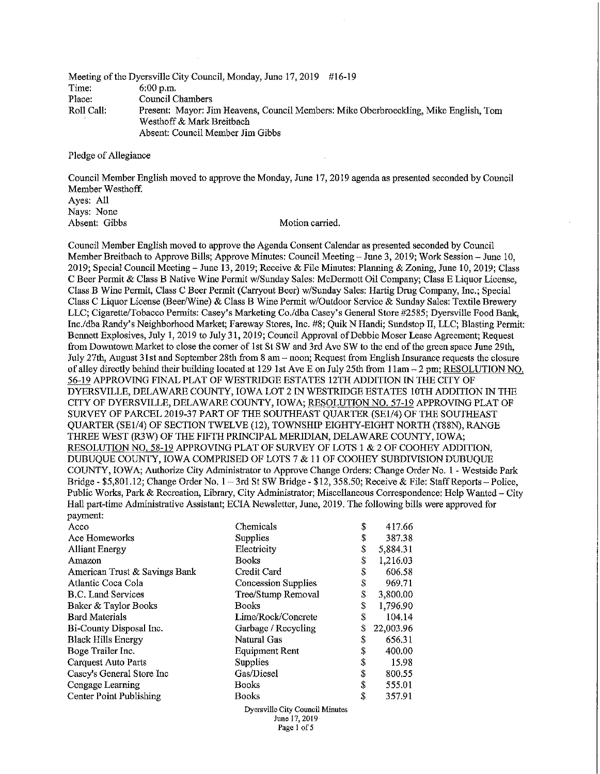|            | Meeting of the Dyersville City Council, Monday, June 17, 2019 #16-19                 |
|------------|--------------------------------------------------------------------------------------|
| Time:      | $6:00$ p.m.                                                                          |
| Place:     | Council Chambers                                                                     |
| Roll Call: | Present: Mayor: Jim Heavens, Council Members: Mike Oberbroeckling, Mike English, Tom |
|            | Westhoff & Mark Breitbach                                                            |
|            | Absent: Council Member Jim Gibbs                                                     |

Pledge of Allegiance

Council Member English moved to approve the Monday, June 17, 2019 agenda as presented seconded by Council Member Westhoff. Ayes: All Navs: None Absent: Gibbs Motion carried.

Council Member English moved to approve the Agenda Consent Calendar as presented seconded by Council Member Breitbach to Approve Bills; Approve Minutes: Council Meeting - June 3, 2019; Work Session - June 10, 2019; Special Council Meeting – June 13, 2019; Receive & File Minutes: Planning & Zoning, June 10, 2019; Class C Beer Permit & Class B Native Wine Permit w/Sunday Sales: McDermott Oil Company; Class E Liquor License, Class B Wine Permit, Class C Beer Permit (Carryout Beer) w/Sunday Sales: Hartig Drug Company, Inc.; Special Class C Liquor License (Beer/Wine) & Class B Wine Permit w/Outdoor Service & Sunday Sales: Textile Brewery LLC; Cigarette/Tobacco Permits: Casey's Marketing Co./dba Casey's General Store #2585; Dyersville Food Bank, Inc./dba Randy's Neighborhood Market; Fareway Stores, Inc. #8; Quik N Handi; Sundstop II, LLC; Blasting Permit: Bennett Explosives, July 1, 2019 to July 31, 2019; Council Approval of Debbie Moser Lease Agreement; Request from Downtown Market to close the corner of 1st St SW and 3rd Ave SW to the end of the green space June 29th, July 27th, August 31st and September 28th from 8 am - noon; Request from English Insurance requests the closure of alley directly behind their building located at 129 1st Ave E on July 25th from 11am - 2 pm; RESOLUTION NO. 56-19 APPROVING FINAL PLAT OF WESTRIDGE ESTATES 12TH ADDITION IN THE CITY OF DYERSVILLE, DELAWARE COUNTY, IOWA LOT 2 IN WESTRIDGE ESTATES 10TH ADDITION IN THE CITY OF DYERSVILLE, DELAWARE COUNTY, IOWA; RESOLUTION NO. 57-19 APPROVING PLAT OF SURVEY OF PARCEL 2019-37 PART OF THE SOUTHEAST QUARTER (SE1/4) OF THE SOUTHEAST QUARTER (SE1/4) OF SECTION TWELVE (12), TOWNSHIP EIGHTY-EIGHT NORTH (T88N), RANGE THREE WEST (R3W) OF THE FIFTH PRINCIPAL MERIDIAN, DELAWARE COUNTY, IOWA; RESOLUTION NO. 58-19 APPROVING PLAT OF SURVEY OF LOTS 1 & 2 OF COOHEY ADDITION, DUBUQUE COUNTY, IOWA COMPRISED OF LOTS 7 & 11 OF COOHEY SUBDIVISION DUBUQUE COUNTY, IOWA; Authorize City Administrator to Approve Change Orders; Change Order No. 1 - Westside Park Bridge - \$5,801.12; Change Order No.  $1 - 3$ rd St SW Bridge - \$12, 358.50; Receive & File: Staff Reports - Police, Public Works, Park & Recreation, Library, City Administrator; Miscellaneous Correspondence: Help Wanted – City Hall part-time Administrative Assistant; ECIA Newsletter, June, 2019. The following bills were approved for payment:

Page 1 of 5

| Acco                          | Chemicals                                        | \$ | 417.66    |
|-------------------------------|--------------------------------------------------|----|-----------|
| Ace Homeworks                 | <b>Supplies</b>                                  | \$ | 387.38    |
| <b>Alliant Energy</b>         | Electricity                                      | \$ | 5,884.31  |
| Amazon                        | Books                                            | \$ | 1,216.03  |
| American Trust & Savings Bank | Credit Card                                      | \$ | 606.58    |
| Atlantic Coca Cola            | Concession Supplies                              | \$ | 969.71    |
| <b>B.C.</b> Land Services     | Tree/Stump Removal                               | \$ | 3,800.00  |
| Baker & Taylor Books          | <b>Books</b>                                     | \$ | 1,796.90  |
| <b>Bard Materials</b>         | Lime/Rock/Concrete                               | \$ | 104.14    |
| Bi-County Disposal Inc.       | Garbage / Recycling                              | S  | 22,003.96 |
| <b>Black Hills Energy</b>     | Natural Gas                                      | S  | 656.31    |
| Boge Trailer Inc.             | <b>Equipment Rent</b>                            | \$ | 400.00    |
| Carquest Auto Parts           | Supplies                                         | \$ | 15.98     |
| Casey's General Store Inc     | Gas/Diesel                                       | \$ | 800.55    |
| Cengage Learning              | <b>Books</b>                                     | \$ | 555.01    |
| Center Point Publishing       | <b>Books</b>                                     | \$ | 357.91    |
|                               | Dyersville City Council Minutes<br>June 17, 2019 |    |           |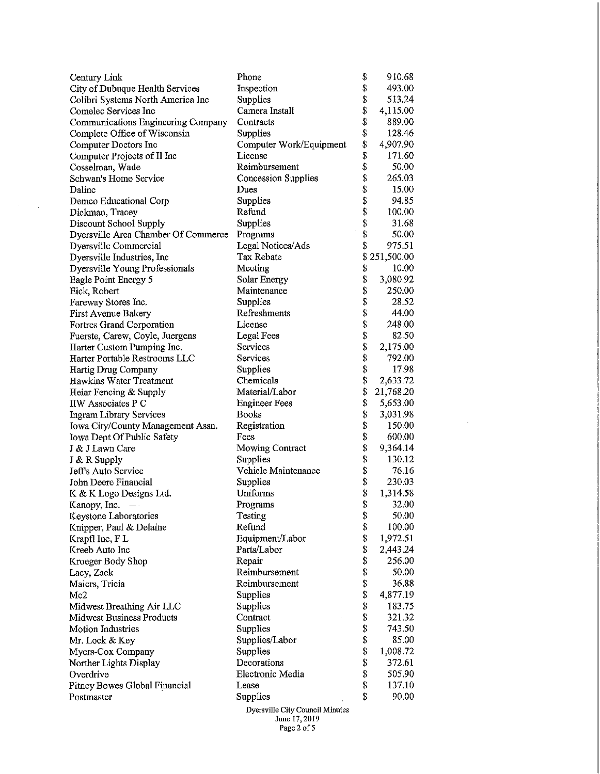| Century Link                        | Phone                                            | \$                        | 910.68       |
|-------------------------------------|--------------------------------------------------|---------------------------|--------------|
| City of Dubuque Health Services     | Inspection                                       | \$                        | 493.00       |
| Colibri Systems North America Inc   | Supplies                                         | \$                        | 513.24       |
| Comelec Services Inc                | Camera Install                                   | \$                        | 4,115.00     |
| Communications Engineering Company  | Contracts                                        | \$                        | 889.00       |
| Complete Office of Wisconsin        | Supplies                                         | \$                        | 128.46       |
| Computer Doctors Inc                | Computer Work/Equipment                          | \$                        | 4,907.90     |
| Computer Projects of Il Inc         | License                                          | $\boldsymbol{\mathsf{S}}$ | 171.60       |
| Cosselman, Wade                     | Reimbursement                                    | \$                        | 50.00        |
| Schwan's Home Service               | Concession Supplies                              | \$                        | 265.03       |
| Dalinc                              | Dues                                             | \$                        | 15.00        |
| Demco Educational Corp              | Supplies                                         | \$                        | 94.85        |
| Dickman, Tracey                     | Refund                                           | \$                        | 100.00       |
| Discount School Supply              | Supplies                                         | \$                        | 31.68        |
| Dyersville Area Chamber Of Commerce | Programs                                         | \$                        | 50.00        |
| Dyersville Commercial               | Legal Notices/Ads                                | \$                        | 975.51       |
| Dyersville Industries, Inc          | Tax Rebate                                       |                           | \$251,500.00 |
| Dyersville Young Professionals      | Meeting                                          | \$                        | 10.00        |
| Eagle Point Energy 5                | Solar Energy                                     | \$                        | 3,080.92     |
| Eick, Robert                        | Maintenance                                      | \$                        | 250.00       |
| Fareway Stores Inc.                 | Supplies                                         | \$                        | 28.52        |
| First Avenue Bakery                 | Refreshments                                     | \$                        | 44.00        |
| Fortres Grand Corporation           | License                                          | \$                        | 248.00       |
| Fuerste, Carew, Coyle, Juergens     | Legal Fees                                       | \$                        | 82.50        |
| Harter Custom Pumping Inc.          | Services                                         |                           | 2,175.00     |
| Harter Portable Restrooms LLC       | Services                                         |                           | 792.00       |
| Hartig Drug Company                 | Supplies                                         | \$\$\$                    | 17.98        |
| Hawkins Water Treatment             | Chemicals                                        | \$                        | 2,633.72     |
| Heiar Fencing & Supply              | Material/Labor                                   | \$                        | 21,768.20    |
| IIW Associates P C                  | <b>Engineer Fees</b>                             | \$                        | 5,653.00     |
| <b>Ingram Library Services</b>      | <b>Books</b>                                     | \$                        | 3,031.98     |
| Iowa City/County Management Assn.   | Registration                                     | \$                        | 150.00       |
| Iowa Dept Of Public Safety          | Fees                                             | \$                        | 600.00       |
| J & J Lawn Care                     | <b>Mowing Contract</b>                           | \$                        | 9,364.14     |
| $J & R$ Supply                      | Supplies                                         | \$                        | 130.12       |
| Jeff's Auto Service                 | Vehicle Maintenance                              | \$                        | 76.16        |
| John Deere Financial                | Supplies                                         |                           | 230.03       |
| K & K Logo Designs Ltd.             |                                                  |                           |              |
| Kanopy, Inc.<br>$-\cdot$            |                                                  | \$                        |              |
|                                     | Uniforms                                         | \$                        | 1,314.58     |
|                                     | Programs                                         | \$                        | 32,00        |
| Keystone Laboratories               | Testing                                          | \$                        | 50.00        |
| Knipper, Paul & Delaine             | Refund                                           | \$                        | 100.00       |
| Krapfl Inc, F L                     | Equipment/Labor                                  | \$                        | 1,972.51     |
| Kreeb Auto Inc                      | Parts/Labor                                      | \$                        | 2,443.24     |
| Kroeger Body Shop                   | Repair                                           | \$                        | 256.00       |
| Lacy, Zack                          | Reimbursement                                    | \$                        | 50.00        |
| Maiers, Tricia                      | Reimbursement                                    | \$                        | 36.88        |
| Mc2                                 | Supplies                                         | \$                        | 4,877.19     |
| Midwest Breathing Air LLC           | Supplies                                         | \$                        | 183.75       |
| <b>Midwest Business Products</b>    | Contract                                         | \$                        | 321.32       |
| <b>Motion Industries</b>            | Supplies                                         | \$                        | 743.50       |
| Mr. Lock & Key                      | Supplies/Labor                                   | \$                        | 85.00        |
| Myers-Cox Company                   | Supplies                                         | \$                        | 1,008.72     |
| Norther Lights Display              | Decorations                                      | \$                        | 372.61       |
| Overdrive                           | Electronic Media                                 | \$                        | 505.90       |
| Pitney Bowes Global Financial       | Lease                                            | \$                        | 137.10       |
| Postmaster                          | Supplies                                         | \$                        | 90.00        |
|                                     | Dyersville City Council Minutes<br>June 17, 2019 |                           |              |

 $\sim 10^7$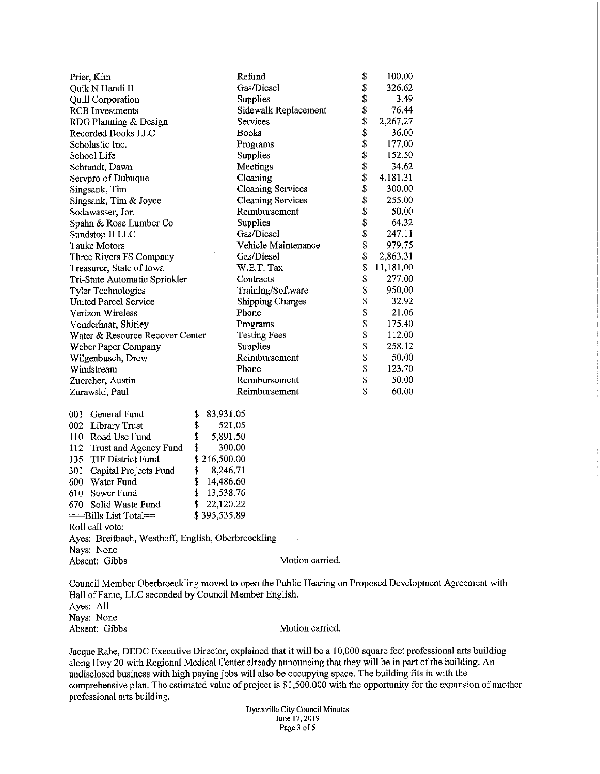|                     | Prier, Kim                      |    |               | Refund                   | \$<br>100.00    |
|---------------------|---------------------------------|----|---------------|--------------------------|-----------------|
|                     | Quik N Handi II                 |    |               | Gas/Diesel               | \$<br>326.62    |
|                     | Quill Corporation               |    |               | Supplies                 | \$<br>3.49      |
|                     | <b>RCB</b> Investments          |    |               | Sidewalk Replacement     | \$<br>76.44     |
|                     | RDG Planning & Design           |    |               | Services                 | \$<br>2,267.27  |
|                     | Recorded Books LLC              |    |               | <b>Books</b>             | \$<br>36.00     |
|                     | Scholastic Inc.                 |    |               | Programs                 | \$<br>177.00    |
|                     | School Life                     |    |               | Supplies                 | \$<br>152.50    |
|                     | Schrandt, Dawn                  |    |               | Meetings                 | \$<br>34.62     |
|                     | Servpro of Dubuque              |    |               | Cleaning                 | \$<br>4,181.31  |
|                     | Singsank, Tim                   |    |               | <b>Cleaning Services</b> | \$<br>300.00    |
|                     | Singsank, Tim & Joyce           |    |               | <b>Cleaning Services</b> | \$<br>255,00    |
|                     | Sodawasser, Jon                 |    |               | Reimbursement            | \$<br>50.00     |
|                     | Spahn & Rose Lumber Co          |    |               | Supplies                 | \$<br>64.32     |
|                     | Sundstop II LLC                 |    |               | Gas/Diesel               | \$<br>247.11    |
|                     | Tauke Motors                    |    |               | Vehicle Maintenance      | \$<br>979.75    |
|                     | Three Rivers FS Company         |    |               | Gas/Diesel               | \$<br>2,863.31  |
|                     | Treasurer, State of Iowa        |    |               | W.E.T. Tax               | \$<br>11,181.00 |
|                     | Tri-State Automatic Sprinkler   |    |               | Contracts                | \$<br>277.00    |
|                     | <b>Tyler Technologies</b>       |    |               | Training/Software        | \$<br>950.00    |
|                     | <b>United Parcel Service</b>    |    |               | <b>Shipping Charges</b>  | \$<br>32.92     |
|                     | Verizon Wireless                |    |               | Phone                    | \$<br>21.06     |
|                     | Vonderhaar, Shirley             |    |               | Programs                 | \$<br>175.40    |
|                     | Water & Resource Recover Center |    |               | <b>Testing Fees</b>      | \$<br>112.00    |
| Weber Paper Company |                                 |    | Supplies      | \$<br>258.12             |                 |
| Wilgenbusch, Drew   |                                 |    | Reimbursement | \$<br>50.00              |                 |
|                     | Windstream                      |    |               | Phone                    | \$<br>123.70    |
| Zuercher, Austin    |                                 |    | Reimbursement | \$<br>50.00              |                 |
|                     | Zurawski, Paul                  |    |               | Reimbursement            | \$<br>60.00     |
| 001                 | <b>General Fund</b>             | \$ | 83,931.05     |                          |                 |
| 002                 | Library Trust                   | \$ | 521.05        |                          |                 |
| 110                 | Road Use Fund                   | \$ | 5,891.50      |                          |                 |
| 112                 | Trust and Agency Fund           | \$ | 300.00        |                          |                 |
| 135                 | <b>TIF District Fund</b>        |    | \$246,500.00  |                          |                 |
| 301                 | Capital Projects Fund           | \$ | 8,246.71      |                          |                 |
| 600                 | Water Fund                      | \$ | 14,486.60     |                          |                 |
| 610                 | Sewer Fund                      | \$ | 13,538.76     |                          |                 |
| 670                 | Solid Waste Fund                | \$ | 22,120.22     |                          |                 |

 $$395,535.89$ -Bills List Total= Roll call vote: Ayes: Breitbach, Westhoff, English, Oberbroeckling  $\mathcal{L}$ Nays: None Absent: Gibbs

Motion carried.

Council Member Oberbroeckling moved to open the Public Hearing on Proposed Development Agreement with Hall of Fame, LLC seconded by Council Member English. Ayes: All Nays: None Absent: Gibbs Motion carried.

Jacque Rahe, DEDC Executive Director, explained that it will be a 10,000 square feet professional arts building along Hwy 20 with Regional Medical Center already announcing that they will be in part of the building. An undisclosed business with high paying jobs will also be occupying space. The building fits in with the comprehensive plan. The estimated value of project is \$1,500,000 with the opportunity for the expansion of another professional arts building.

> Dyersville City Council Minutes June 17, 2019 Page 3 of 5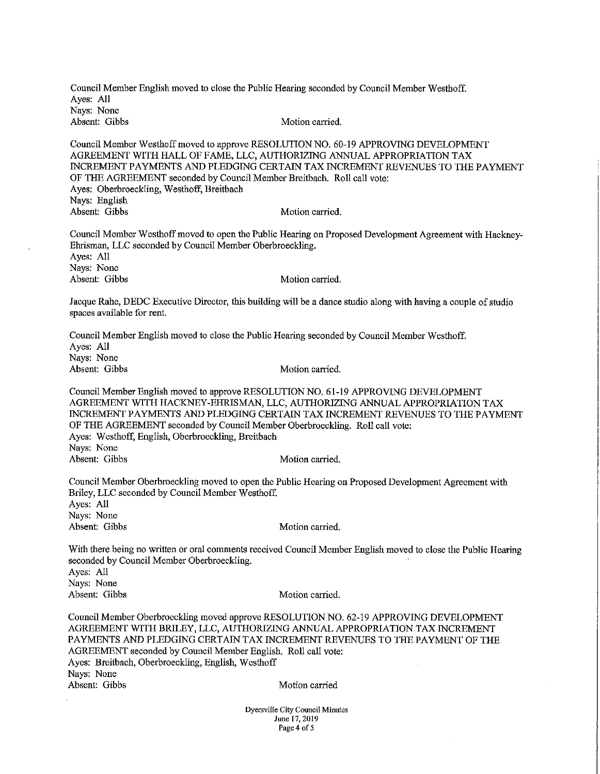Council Member English moved to close the Public Hearing seconded by Council Member Westhoff. Aves: All Nays: None Absent: Gibbs Motion carried.

Council Member Westhoff moved to approve RESOLUTION NO. 60-19 APPROVING DEVELOPMENT AGREEMENT WITH HALL OF FAME, LLC, AUTHORIZING ANNUAL APPROPRIATION TAX INCREMENT PAYMENTS AND PLEDGING CERTAIN TAX INCREMENT REVENUES TO THE PAYMENT OF THE AGREEMENT seconded by Council Member Breitbach. Roll call vote: Ayes: Oberbroeckling, Westhoff, Breitbach Nays: English Absent: Gibbs Motion carried.

Council Member Westhoff moved to open the Public Hearing on Proposed Development Agreement with Hackney-Ehrisman, LLC seconded by Council Member Oberbroeckling. Aves: All Nays: None Absent: Gibbs Motion carried.

Jacque Rahe, DEDC Executive Director, this building will be a dance studio along with having a couple of studio spaces available for rent.

Council Member English moved to close the Public Hearing seconded by Council Member Westhoff. Aves: All Nays: None Absent: Gibbs Motion carried.

Council Member English moved to approve RESOLUTION NO. 61-19 APPROVING DEVELOPMENT AGREEMENT WITH HACKNEY-EHRISMAN, LLC, AUTHORIZING ANNUAL APPROPRIATION TAX INCREMENT PAYMENTS AND PLEDGING CERTAIN TAX INCREMENT REVENUES TO THE PAYMENT OF THE AGREEMENT seconded by Council Member Oberbroeckling. Roll call vote: Ayes: Westhoff, English, Oberbroeckling, Breitbach Nays: None Absent: Gibbs Motion carried.

Council Member Oberbroeckling moved to open the Public Hearing on Proposed Development Agreement with Briley, LLC seconded by Council Member Westhoff. Ayes: All Nays: None Absent: Gibbs Motion carried.

With there being no written or oral comments received Council Member English moved to close the Public Hearing seconded by Council Member Oberbroeckling. Aves: All Nays: None Absent: Gibbs Motion carried.

Council Member Oberbroeckling moved approve RESOLUTION NO. 62-19 APPROVING DEVELOPMENT AGREEMENT WITH BRILEY, LLC, AUTHORIZING ANNUAL APPROPRIATION TAX INCREMENT PAYMENTS AND PLEDGING CERTAIN TAX INCREMENT REVENUES TO THE PAYMENT OF THE AGREEMENT seconded by Council Member English. Roll call vote: Ayes: Breitbach, Oberbroeckling, English, Westhoff Nays: None Absent: Gibbs Motion carried

> Dyersville City Council Minutes June 17, 2019 Page 4 of 5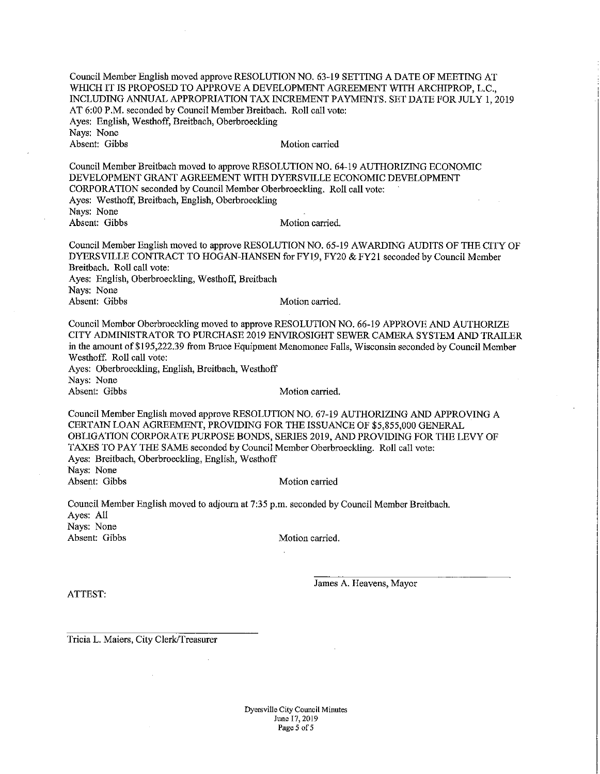Council Member English moved approve RESOLUTION NO. 63-19 SETTING A DATE OF MEETING AT WHICH IT IS PROPOSED TO APPROVE A DEVELOPMENT AGREEMENT WITH ARCHIPROP, L.C., INCLUDING ANNUAL APPROPRIATION TAX INCREMENT PAYMENTS. SET DATE FOR JULY 1, 2019 AT 6:00 P.M. seconded by Council Member Breitbach. Roll call vote: Ayes: English, Westhoff, Breitbach, Oberbroeckling Navs: None Absent: Gibbs Motion carried

Council Member Breitbach moved to approve RESOLUTION NO. 64-19 AUTHORIZING ECONOMIC DEVELOPMENT GRANT AGREEMENT WITH DYERSVILLE ECONOMIC DEVELOPMENT CORPORATION seconded by Council Member Oberbroeckling. Roll call vote: Ayes: Westhoff, Breitbach, English, Oberbroeckling Nays: None Absent: Gibbs Motion carried.

Council Member English moved to approve RESOLUTION NO. 65-19 AWARDING AUDITS OF THE CITY OF DYERSVILLE CONTRACT TO HOGAN-HANSEN for FY19, FY20 & FY21 seconded by Council Member Breitbach. Roll call vote: Ayes: English, Oberbroeckling, Westhoff, Breitbach Nays: None Absent: Gibbs Motion carried.

Council Member Oberbroeckling moved to approve RESOLUTION NO. 66-19 APPROVE AND AUTHORIZE CITY ADMINISTRATOR TO PURCHASE 2019 ENVIROSIGHT SEWER CAMERA SYSTEM AND TRAILER in the amount of \$195,222.39 from Bruce Equipment Menomonee Falls, Wisconsin seconded by Council Member Westhoff. Roll call vote: Ayes: Oberbroeckling, English, Breitbach, Westhoff Navs: None Absent: Gibbs Motion carried.

Council Member English moved approve RESOLUTION NO. 67-19 AUTHORIZING AND APPROVING A CERTAIN LOAN AGREEMENT, PROVIDING FOR THE ISSUANCE OF \$5,855,000 GENERAL OBLIGATION CORPORATE PURPOSE BONDS, SERIES 2019, AND PROVIDING FOR THE LEVY OF TAXES TO PAY THE SAME seconded by Council Member Oberbroeckling. Roll call vote: Ayes: Breitbach, Oberbroeckling, English, Westhoff Navs: None

Absent: Gibbs

Motion carried

Council Member English moved to adjourn at 7:35 p.m. seconded by Council Member Breitbach. Ayes: All Nays: None Absent: Gibbs Motion carried.

ATTEST:

James A. Heavens, Mayor

Tricia L. Maiers, City Clerk/Treasurer

Dyersville City Council Minutes June 17, 2019 Page 5 of 5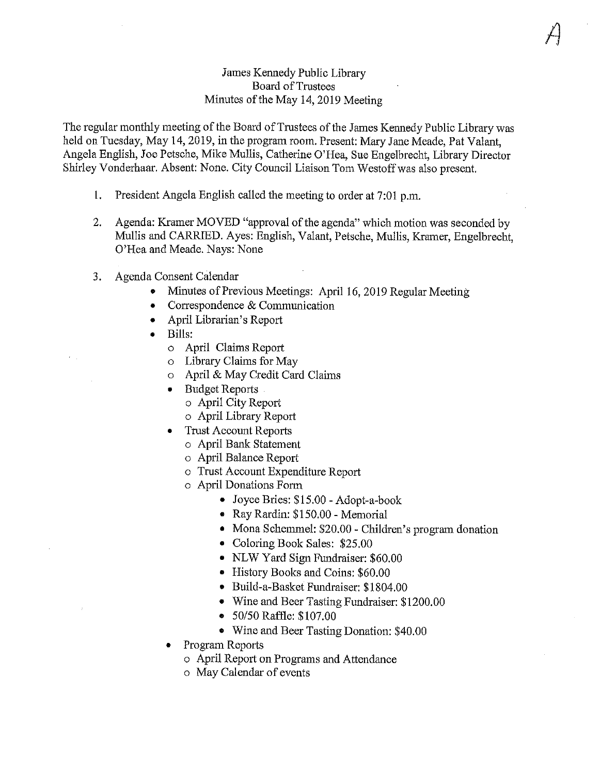### James Kennedy Public Library Board of Trustees Minutes of the May 14, 2019 Meeting

The regular monthly meeting of the Board of Trustees of the James Kennedy Public Library was held on Tuesday, May 14, 2019, in the program room. Present: Mary Jane Meade, Pat Valant. Angela English, Joe Petsche, Mike Mullis, Catherine O'Hea, Sue Engelbrecht, Library Director Shirley Vonderhaar. Absent: None. City Council Liaison Tom Westoff was also present.

- 1. President Angela English called the meeting to order at 7:01 p.m.
- Agenda: Kramer MOVED "approval of the agenda" which motion was seconded by  $2.$ Mullis and CARRIED. Ayes: English, Valant, Petsche, Mullis, Kramer, Engelbrecht, O'Hea and Meade. Nays: None
- 3. Agenda Consent Calendar
	- Minutes of Previous Meetings: April 16, 2019 Regular Meeting
	- Correspondence & Communication  $\bullet$
	- April Librarian's Report
	- Bills:
		- o April Claims Report
		- o Library Claims for May
		- o April & May Credit Card Claims
		- Budget Reports
			- o April City Report
			- o April Library Report
		- **Trust Account Reports** 
			- o April Bank Statement
			- o April Balance Report
			- o Trust Account Expenditure Report
			- o April Donations Form
				- Joyce Bries: \$15.00 Adopt-a-book
				- Ray Rardin: \$150.00 Memorial
				- Mona Schemmel: \$20.00 Children's program donation
				- Coloring Book Sales: \$25.00
				- NLW Yard Sign Fundraiser: \$60.00
				- History Books and Coins: \$60.00
				- · Build-a-Basket Fundraiser: \$1804.00
				- Wine and Beer Tasting Fundraiser: \$1200.00
				- 50/50 Raffle: \$107.00
				- Wine and Beer Tasting Donation: \$40.00
		- Program Reports
			- o April Report on Programs and Attendance
			- o May Calendar of events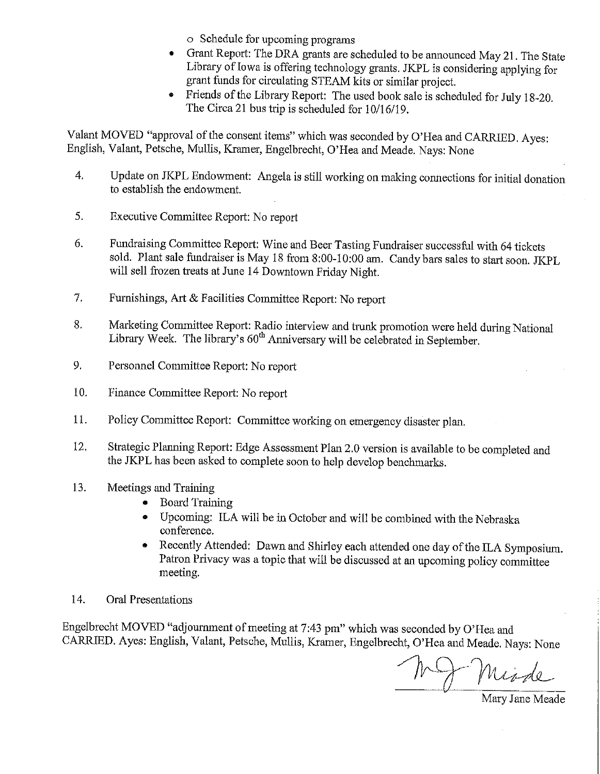o Schedule for upcoming programs

- Grant Report: The DRA grants are scheduled to be announced May 21. The State Library of Iowa is offering technology grants. JKPL is considering applying for grant funds for circulating STEAM kits or similar project.
- Friends of the Library Report: The used book sale is scheduled for July 18-20. The Circa 21 bus trip is scheduled for 10/16/19.

Valant MOVED "approval of the consent items" which was seconded by O'Hea and CARRIED. Ayes: English, Valant, Petsche, Mullis, Kramer, Engelbrecht, O'Hea and Meade. Nays: None

- Update on JKPL Endowment: Angela is still working on making connections for initial donation  $\overline{4}$ . to establish the endowment.
- 5. Executive Committee Report: No report
- 6. Fundraising Committee Report: Wine and Beer Tasting Fundraiser successful with 64 tickets sold. Plant sale fundraiser is May 18 from 8:00-10:00 am. Candy bars sales to start soon. JKPL will sell frozen treats at June 14 Downtown Friday Night.
- 7. Furnishings, Art & Facilities Committee Report: No report
- Marketing Committee Report: Radio interview and trunk promotion were held during National 8. Library Week. The library's 60<sup>th</sup> Anniversary will be celebrated in September.
- 9. Personnel Committee Report: No report
- 10. Finance Committee Report: No report
- 11. Policy Committee Report: Committee working on emergency disaster plan.
- 12. Strategic Planning Report: Edge Assessment Plan 2.0 version is available to be completed and the JKPL has been asked to complete soon to help develop benchmarks.
- 13. Meetings and Training
	- **Board Training**  $\bullet$
	- Upcoming: ILA will be in October and will be combined with the Nebraska conference.
	- Recently Attended: Dawn and Shirley each attended one day of the ILA Symposium.  $\bullet$ Patron Privacy was a topic that will be discussed at an upcoming policy committee meeting.
- 14. Oral Presentations

Engelbrecht MOVED "adjournment of meeting at 7:43 pm" which was seconded by O'Hea and CARRIED. Ayes: English, Valant, Petsche, Mullis, Kramer, Engelbrecht, O'Hea and Meade. Nays: None

NJ Misde

Mary Jane Meade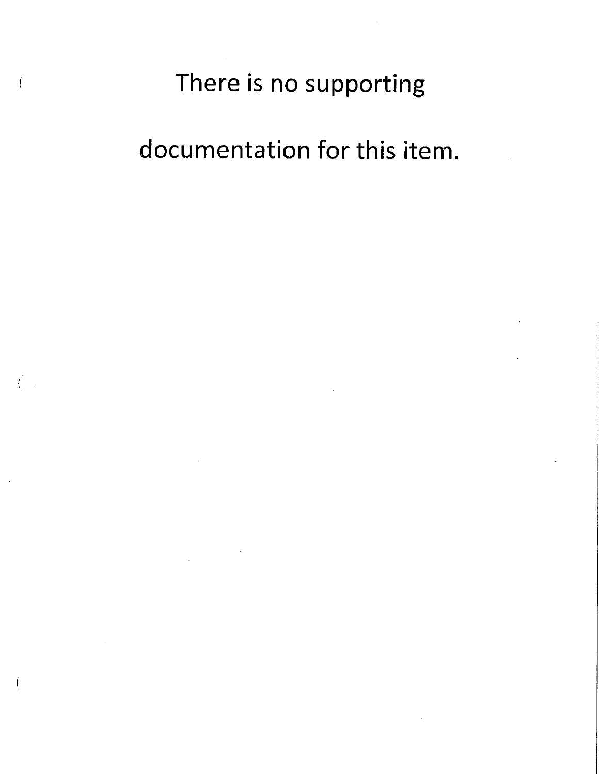# There is no supporting

documentation for this item.